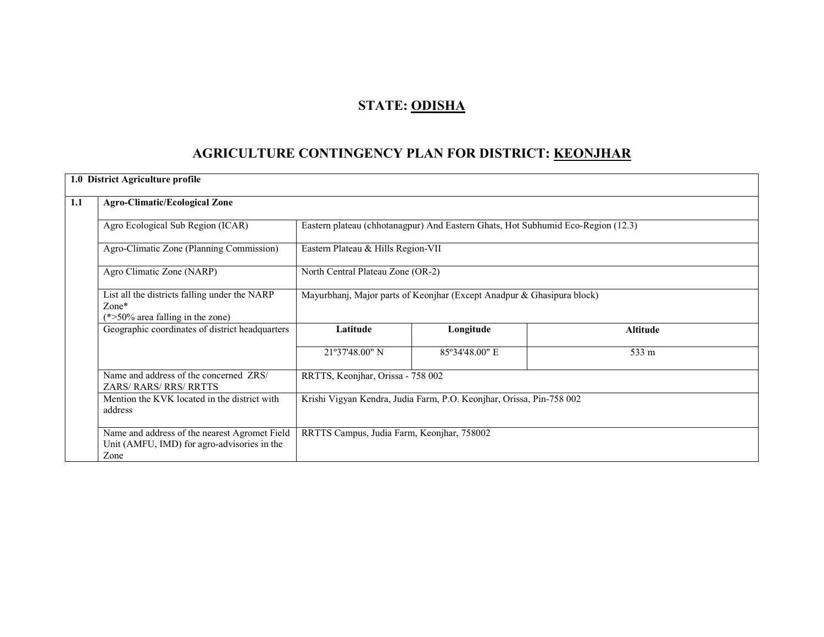# STATE: ODISHA

# AGRICULTURE CONTINGENCY PLAN FOR DISTRICT: KEONJHAR

|     | 1.0 District Agriculture profile                                                                     |                                                                        |                                                                                  |                 |  |  |  |
|-----|------------------------------------------------------------------------------------------------------|------------------------------------------------------------------------|----------------------------------------------------------------------------------|-----------------|--|--|--|
| 1.1 | <b>Agro-Climatic/Ecological Zone</b>                                                                 |                                                                        |                                                                                  |                 |  |  |  |
|     | Agro Ecological Sub Region (ICAR)                                                                    |                                                                        | Eastern plateau (chhotanagpur) And Eastern Ghats, Hot Subhumid Eco-Region (12.3) |                 |  |  |  |
|     | Agro-Climatic Zone (Planning Commission)                                                             | Eastern Plateau & Hills Region-VII                                     |                                                                                  |                 |  |  |  |
|     | Agro Climatic Zone (NARP)                                                                            | North Central Plateau Zone (OR-2)                                      |                                                                                  |                 |  |  |  |
|     | List all the districts falling under the NARP<br>$Zone*$<br>$(*>50\%$ area falling in the zone)      | Mayurbhanj, Major parts of Keonjhar (Except Anadpur & Ghasipura block) |                                                                                  |                 |  |  |  |
|     | Geographic coordinates of district headquarters                                                      | Latitude                                                               | Longitude                                                                        | <b>Altitude</b> |  |  |  |
|     |                                                                                                      | 21°37'48.00" N                                                         | 85°34'48.00" E                                                                   | 533 m           |  |  |  |
|     | Name and address of the concerned ZRS/<br><b>ZARS/RARS/RRS/RRTTS</b>                                 | RRTTS, Keonjhar, Orissa - 758 002                                      |                                                                                  |                 |  |  |  |
|     | Mention the KVK located in the district with<br>address                                              | Krishi Vigyan Kendra, Judia Farm, P.O. Keonjhar, Orissa, Pin-758 002   |                                                                                  |                 |  |  |  |
|     | Name and address of the nearest Agromet Field<br>Unit (AMFU, IMD) for agro-advisories in the<br>Zone | RRTTS Campus, Judia Farm, Keonjhar, 758002                             |                                                                                  |                 |  |  |  |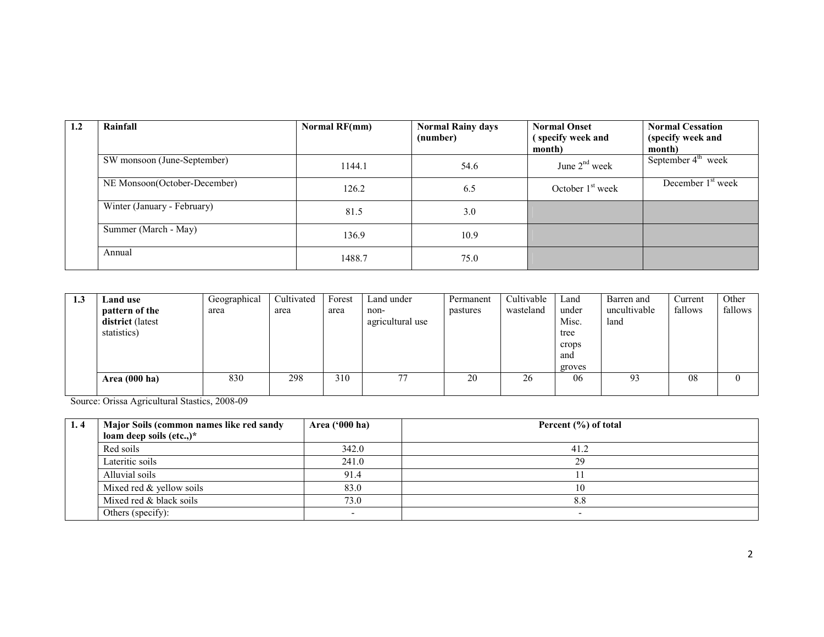| 1.2 | Rainfall                     | Normal RF(mm) | <b>Normal Rainy days</b><br>(number) | <b>Normal Onset</b><br>(specify week and | <b>Normal Cessation</b><br>(specify week and |
|-----|------------------------------|---------------|--------------------------------------|------------------------------------------|----------------------------------------------|
|     |                              |               |                                      | month)                                   | month)                                       |
|     | SW monsoon (June-September)  | 1144.1        | 54.6                                 | June $2nd$ week                          | September $4th$ week                         |
|     | NE Monsoon(October-December) | 126.2         | 6.5                                  | October $1st$ week                       | December 1 <sup>st</sup> week                |
|     | Winter (January - February)  | 81.5          | 3.0                                  |                                          |                                              |
|     | Summer (March - May)         | 136.9         | 10.9                                 |                                          |                                              |
|     | Annual                       | 1488.7        | 75.0                                 |                                          |                                              |

| 1.3 | Land use                           | Geographical | Cultivated | Forest | Land under               | Permanent | Cultivable | Land           | Barren and           | Current | Other   |
|-----|------------------------------------|--------------|------------|--------|--------------------------|-----------|------------|----------------|----------------------|---------|---------|
|     | pattern of the<br>district (latest | area         | area       | area   | non-<br>agricultural use | pastures  | wasteland  | under<br>Misc. | uncultivable<br>land | fallows | fallows |
|     | statistics)                        |              |            |        |                          |           |            | tree           |                      |         |         |
|     |                                    |              |            |        |                          |           |            | crops          |                      |         |         |
|     |                                    |              |            |        |                          |           |            | and            |                      |         |         |
|     |                                    |              |            |        |                          |           |            | groves         |                      |         |         |
|     | Area (000 ha)                      | 830          | 298        | 310    | 77                       | 20        | 26         | 06             | 93                   | 08      | 0       |
|     |                                    |              |            |        |                          |           |            |                |                      |         |         |

Source: Orissa Agricultural Stastics, 2008-09

| 1.4 | Major Soils (common names like red sandy | Area ('000 ha) | Percent $(\% )$ of total |
|-----|------------------------------------------|----------------|--------------------------|
|     | loam deep soils $(\text{etc.})^*$        |                |                          |
|     | Red soils                                | 342.0          | 41.2                     |
|     | Lateritic soils                          | 241.0          | 29                       |
|     | Alluvial soils                           | 91.4           |                          |
|     | Mixed red $&$ yellow soils               | 83.0           | 10                       |
|     | Mixed red & black soils                  | 73.0           | 8.8                      |
|     | Others (specify):                        |                |                          |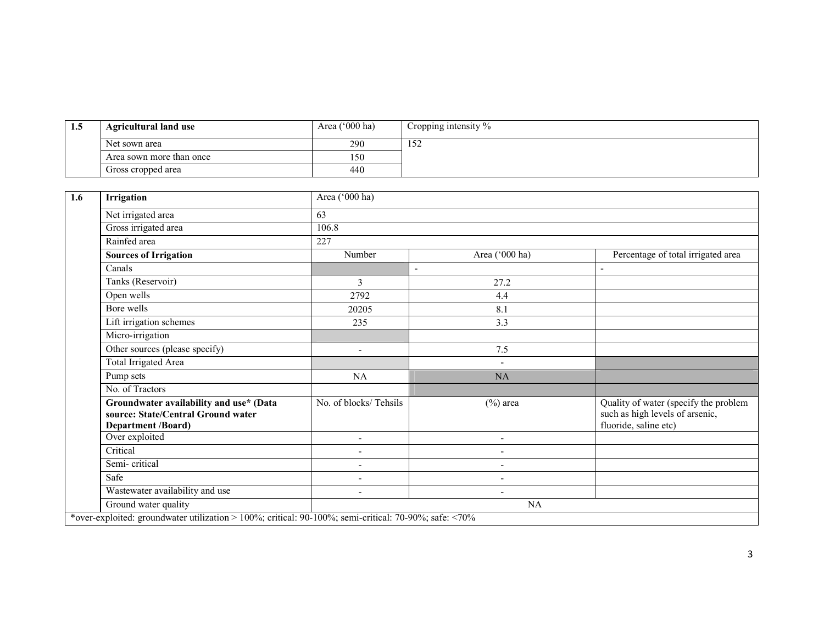| L.J | <b>Agricultural land use</b> | Area ('000 ha) | Cropping intensity % |
|-----|------------------------------|----------------|----------------------|
|     | Net sown area                | 290            | 1 J 4                |
|     | Area sown more than once     | 150            |                      |
|     | Gross cropped area           | 440            |                      |

| 1.6 | Irrigation                                                                                                 | Area ('000 ha)           |                          |                                                                                                   |
|-----|------------------------------------------------------------------------------------------------------------|--------------------------|--------------------------|---------------------------------------------------------------------------------------------------|
|     | Net irrigated area                                                                                         | 63                       |                          |                                                                                                   |
|     | Gross irrigated area                                                                                       | 106.8                    |                          |                                                                                                   |
|     | Rainfed area                                                                                               | 227                      |                          |                                                                                                   |
|     | <b>Sources of Irrigation</b>                                                                               | Number                   | Area ('000 ha)           | Percentage of total irrigated area                                                                |
|     | Canals                                                                                                     | $\blacksquare$           |                          |                                                                                                   |
|     | Tanks (Reservoir)                                                                                          | $\overline{3}$           | 27.2                     |                                                                                                   |
|     | Open wells                                                                                                 | 2792                     | 4.4                      |                                                                                                   |
|     | Bore wells                                                                                                 | 20205                    | 8.1                      |                                                                                                   |
|     | Lift irrigation schemes                                                                                    | 235                      | 3.3                      |                                                                                                   |
|     | Micro-irrigation                                                                                           |                          |                          |                                                                                                   |
|     | Other sources (please specify)                                                                             | ۰                        | 7.5                      |                                                                                                   |
|     | <b>Total Irrigated Area</b>                                                                                |                          | $\overline{\phantom{a}}$ |                                                                                                   |
|     | Pump sets                                                                                                  | NA                       | NA                       |                                                                                                   |
|     | No. of Tractors                                                                                            |                          |                          |                                                                                                   |
|     | Groundwater availability and use* (Data<br>source: State/Central Ground water<br><b>Department /Board)</b> | No. of blocks/Tehsils    | $(\%)$ area              | Quality of water (specify the problem<br>such as high levels of arsenic,<br>fluoride, saline etc) |
|     | Over exploited                                                                                             | $\overline{a}$           | $\overline{\phantom{0}}$ |                                                                                                   |
|     | Critical                                                                                                   | $\blacksquare$           |                          |                                                                                                   |
|     | Semi-critical                                                                                              | $\overline{\phantom{a}}$ | $\overline{\phantom{a}}$ |                                                                                                   |
|     | Safe                                                                                                       | -                        | $\overline{\phantom{a}}$ |                                                                                                   |
|     | Wastewater availability and use                                                                            | $\overline{\phantom{a}}$ | $\overline{\phantom{a}}$ |                                                                                                   |
|     | Ground water quality                                                                                       |                          | NA                       |                                                                                                   |
|     | *over-exploited: groundwater utilization > 100%; critical: 90-100%; semi-critical: 70-90%; safe: <70%      |                          |                          |                                                                                                   |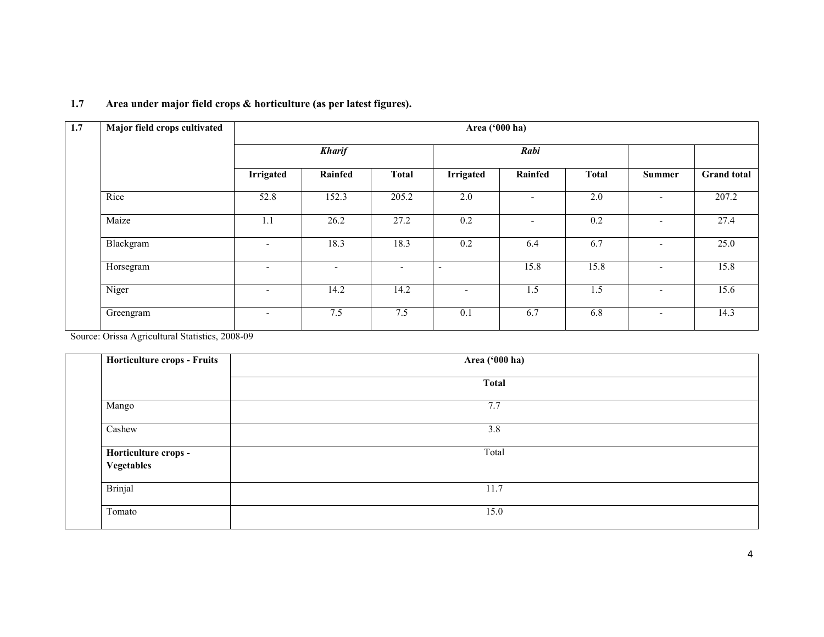| 1.7 | Major field crops cultivated | Area ('000 ha)               |                          |                          |                          |                          |              |                          |                    |  |  |
|-----|------------------------------|------------------------------|--------------------------|--------------------------|--------------------------|--------------------------|--------------|--------------------------|--------------------|--|--|
|     |                              |                              | <b>Kharif</b>            |                          |                          | Rabi                     |              |                          |                    |  |  |
|     |                              | Irrigated                    | Rainfed                  | <b>Total</b>             | <b>Irrigated</b>         | Rainfed                  | <b>Total</b> | <b>Summer</b>            | <b>Grand</b> total |  |  |
|     | Rice                         | 52.8                         | 152.3                    | 205.2                    | 2.0                      | $\blacksquare$           | 2.0          | $\overline{\phantom{a}}$ | 207.2              |  |  |
|     | Maize                        | 1.1                          | 26.2                     | 27.2                     | 0.2                      | $\overline{\phantom{a}}$ | 0.2          | $\overline{\phantom{0}}$ | 27.4               |  |  |
|     | Blackgram                    | $\overline{\phantom{a}}$     | 18.3                     | 18.3                     | 0.2                      | 6.4                      | 6.7          | $\overline{\phantom{a}}$ | 25.0               |  |  |
|     | Horsegram                    | $\qquad \qquad \blacksquare$ | $\overline{\phantom{0}}$ | $\overline{\phantom{a}}$ | $\overline{\phantom{a}}$ | 15.8                     | 15.8         | $\overline{\phantom{a}}$ | 15.8               |  |  |
|     | Niger                        | $\overline{\phantom{0}}$     | 14.2                     | 14.2                     | $\overline{\phantom{a}}$ | 1.5                      | 1.5          | $\sim$                   | 15.6               |  |  |
|     | Greengram                    | $\overline{\phantom{0}}$     | 7.5                      | 7.5                      | 0.1                      | 6.7                      | 6.8          | $\sim$                   | 14.3               |  |  |

#### 1.7 Area under major field crops & horticulture (as per latest figures).

Source: Orissa Agricultural Statistics, 2008-09

| Horticulture crops - Fruits        | Area ('000 ha) |
|------------------------------------|----------------|
|                                    | <b>Total</b>   |
| Mango                              | 7.7            |
| Cashew                             | 3.8            |
| Horticulture crops -<br>Vegetables | Total          |
| Brinjal                            | 11.7           |
| Tomato                             | 15.0           |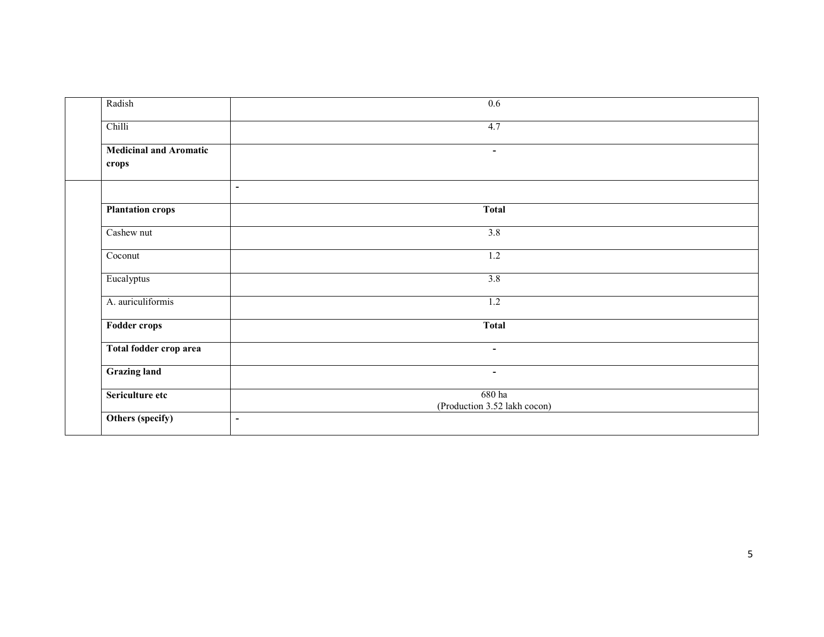| Radish                                       | 0.6                                    |  |
|----------------------------------------------|----------------------------------------|--|
| Chilli                                       | 4.7                                    |  |
| <b>Medicinal and Aromatic</b><br>crops       | $\sim$                                 |  |
| $\blacksquare$                               |                                        |  |
| <b>Plantation crops</b>                      | <b>Total</b>                           |  |
| Cashew nut                                   | 3.8                                    |  |
| Coconut                                      | $1.2\,$                                |  |
| Eucalyptus                                   | 3.8                                    |  |
| A. auriculiformis                            | 1.2                                    |  |
| Fodder crops                                 | <b>Total</b>                           |  |
| Total fodder crop area                       | $\sim$                                 |  |
| <b>Grazing land</b>                          | $\sim$                                 |  |
| Sericulture etc                              | 680 ha<br>(Production 3.52 lakh cocon) |  |
| Others (specify)<br>$\overline{\phantom{a}}$ |                                        |  |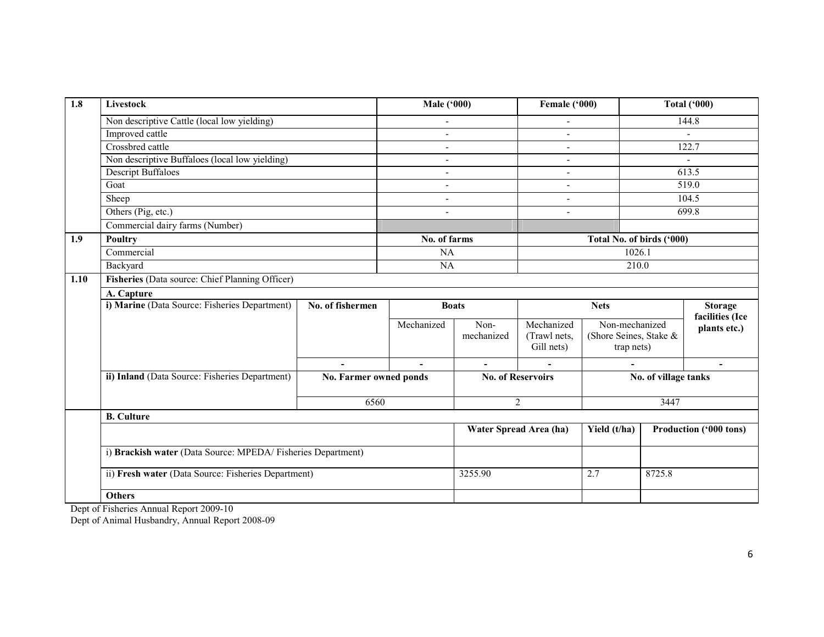| $\overline{1.8}$ | Livestock                                                   |                        | <b>Male ('000)</b> |                | Female ('000)            |                           |                      | <b>Total ('000)</b>             |
|------------------|-------------------------------------------------------------|------------------------|--------------------|----------------|--------------------------|---------------------------|----------------------|---------------------------------|
|                  | Non descriptive Cattle (local low yielding)                 |                        | $\blacksquare$     |                | $\blacksquare$           |                           |                      | 144.8                           |
|                  | Improved cattle                                             |                        |                    |                | $\overline{a}$           |                           |                      | $\blacksquare$                  |
|                  | Crossbred cattle                                            |                        |                    |                | $\blacksquare$           |                           |                      | 122.7                           |
|                  | Non descriptive Buffaloes (local low yielding)              |                        |                    |                | ÷                        |                           |                      |                                 |
|                  | <b>Descript Buffaloes</b>                                   |                        |                    |                | $\blacksquare$           |                           |                      | 613.5                           |
|                  | Goat                                                        |                        | $\sim$             |                | $\overline{a}$           |                           |                      | 519.0                           |
|                  | Sheep                                                       |                        | $\blacksquare$     |                | $\blacksquare$           |                           |                      | 104.5                           |
|                  | Others (Pig, etc.)                                          |                        |                    |                | $\overline{\phantom{a}}$ |                           |                      | 699.8                           |
|                  | Commercial dairy farms (Number)                             |                        |                    |                |                          |                           |                      |                                 |
| 1.9              | <b>Poultry</b>                                              |                        | No. of farms       |                |                          | Total No. of birds ('000) |                      |                                 |
|                  | Commercial                                                  |                        | NA                 |                |                          | 1026.1                    |                      |                                 |
|                  | Backyard                                                    |                        | NA                 |                |                          | 210.0                     |                      |                                 |
| 1.10             | Fisheries (Data source: Chief Planning Officer)             |                        |                    |                |                          |                           |                      |                                 |
|                  | A. Capture                                                  |                        |                    |                |                          |                           |                      |                                 |
|                  | i) Marine (Data Source: Fisheries Department)               | No. of fishermen       |                    | <b>Boats</b>   |                          | <b>Nets</b>               |                      | <b>Storage</b>                  |
|                  |                                                             |                        | Mechanized         | Non-           | Mechanized               | Non-mechanized            |                      | facilities (Ice<br>plants etc.) |
|                  |                                                             |                        |                    | mechanized     | (Trawl nets,             | (Shore Seines, Stake &    |                      |                                 |
|                  |                                                             |                        |                    |                | Gill nets)               | trap nets)                |                      |                                 |
|                  |                                                             |                        |                    | $\blacksquare$ |                          |                           |                      | $\overline{\phantom{a}}$        |
|                  | ii) Inland (Data Source: Fisheries Department)              | No. Farmer owned ponds |                    |                | <b>No. of Reservoirs</b> |                           | No. of village tanks |                                 |
|                  |                                                             |                        |                    |                |                          |                           |                      |                                 |
|                  |                                                             | 6560                   |                    |                | $\overline{2}$           |                           | 3447                 |                                 |
|                  | <b>B.</b> Culture                                           |                        |                    |                |                          |                           |                      |                                 |
|                  |                                                             |                        |                    |                | Water Spread Area (ha)   | Yield (t/ha)              |                      | Production ('000 tons)          |
|                  | i) Brackish water (Data Source: MPEDA/Fisheries Department) |                        |                    |                |                          |                           |                      |                                 |
|                  | ii) Fresh water (Data Source: Fisheries Department)         |                        |                    | 3255.90        |                          | 2.7                       | 8725.8               |                                 |
|                  | <b>Others</b>                                               |                        |                    |                |                          |                           |                      |                                 |
|                  | Dept of Fisheries Annual Report 2009-10                     |                        |                    |                |                          |                           |                      |                                 |
|                  | Dept of Animal Husbandry, Annual Report 2008-09             |                        |                    |                |                          |                           |                      |                                 |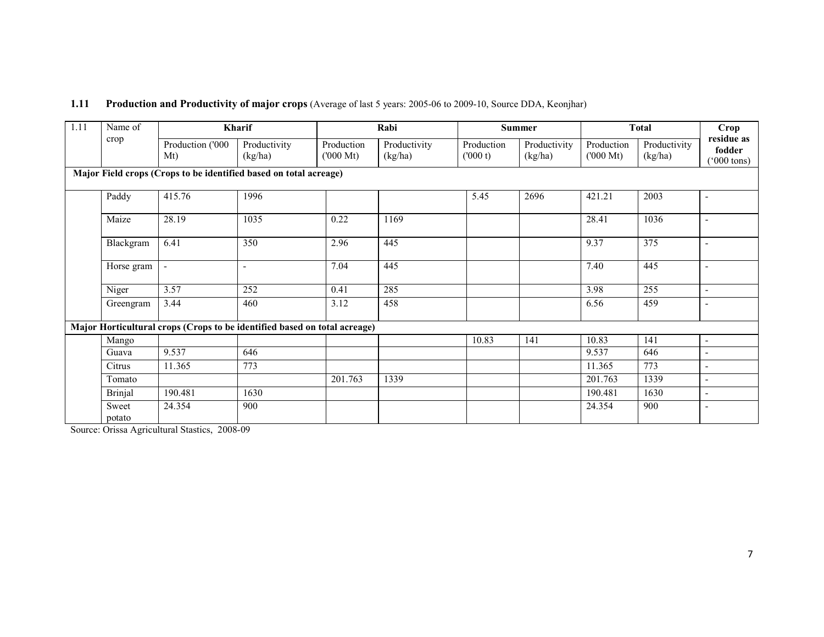| 1.11 | Name of         |                         | Kharif                                                                    |                                  | Rabi                    | <b>Summer</b>         |                         | <b>Total</b>                     |                         | Crop                                         |
|------|-----------------|-------------------------|---------------------------------------------------------------------------|----------------------------------|-------------------------|-----------------------|-------------------------|----------------------------------|-------------------------|----------------------------------------------|
|      | crop            | Production ('000<br>Mt) | Productivity<br>(kg/ha)                                                   | Production<br>$(000 \text{ Mt})$ | Productivity<br>(kg/ha) | Production<br>(000 t) | Productivity<br>(kg/ha) | Production<br>$(000 \text{ Mt})$ | Productivity<br>(kg/ha) | residue as<br>fodder<br>$^{\prime}000$ tons) |
|      |                 |                         | Major Field crops (Crops to be identified based on total acreage)         |                                  |                         |                       |                         |                                  |                         |                                              |
|      | Paddy           | 415.76                  | 1996                                                                      |                                  |                         | 5.45                  | 2696                    | 421.21                           | 2003                    | $\overline{\phantom{0}}$                     |
|      | Maize           | 28.19                   | 1035                                                                      | 0.22                             | 1169                    |                       |                         | 28.41                            | 1036                    | $\overline{\phantom{0}}$                     |
|      | Blackgram       | 6.41                    | 350                                                                       | 2.96                             | 445                     |                       |                         | 9.37                             | 375                     | $\blacksquare$                               |
|      | Horse gram      | $\blacksquare$          | $\blacksquare$                                                            | 7.04                             | 445                     |                       |                         | 7.40                             | 445                     | $\blacksquare$                               |
|      | Niger           | 3.57                    | 252                                                                       | 0.41                             | 285                     |                       |                         | 3.98                             | 255                     | $\overline{\phantom{0}}$                     |
|      | Greengram       | 3.44                    | 460                                                                       | 3.12                             | 458                     |                       |                         | 6.56                             | 459                     |                                              |
|      |                 |                         | Major Horticultural crops (Crops to be identified based on total acreage) |                                  |                         |                       |                         |                                  |                         |                                              |
|      | Mango           |                         |                                                                           |                                  |                         | 10.83                 | 141                     | 10.83                            | 141                     | $\blacksquare$                               |
|      | Guava           | 9.537                   | 646                                                                       |                                  |                         |                       |                         | 9.537                            | 646                     |                                              |
|      | Citrus          | 11.365                  | 773                                                                       |                                  |                         |                       |                         | 11.365                           | 773                     |                                              |
|      | Tomato          |                         |                                                                           | 201.763                          | 1339                    |                       |                         | 201.763                          | 1339                    |                                              |
|      | <b>Brinjal</b>  | 190.481                 | 1630                                                                      |                                  |                         |                       |                         | 190.481                          | 1630                    |                                              |
|      | Sweet<br>potato | 24.354                  | 900                                                                       |                                  |                         |                       |                         | 24.354                           | 900                     | $\blacksquare$                               |

### 1.11 Production and Productivity of major crops (Average of last 5 years: 2005-06 to 2009-10, Source DDA, Keonjhar)

potato Source: Orissa Agricultural Stastics, 2008-09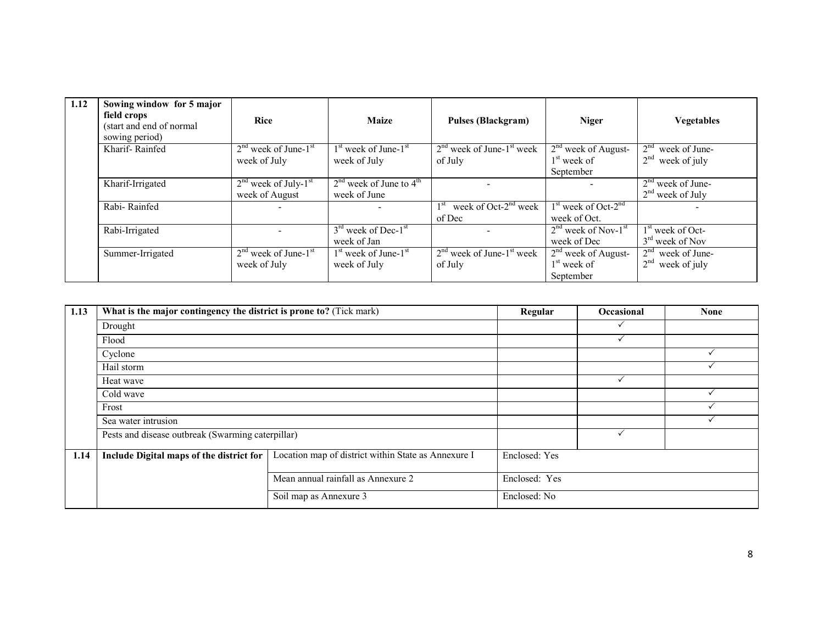| 1.12 | Sowing window for 5 major<br>field crops<br>(start and end of normal<br>sowing period) | <b>Rice</b>                                          | <b>Maize</b>                                                 | <b>Pulses (Blackgram)</b>                          | <b>Niger</b>                                        | <b>Vegetables</b>                                      |
|------|----------------------------------------------------------------------------------------|------------------------------------------------------|--------------------------------------------------------------|----------------------------------------------------|-----------------------------------------------------|--------------------------------------------------------|
|      | Kharif-Rainfed                                                                         | $2nd$ week of June- $1st$<br>week of July            | 1 <sup>st</sup> week of June-1 <sup>st</sup><br>week of July | $2nd$ week of June-1 <sup>st</sup> week<br>of July | $2nd$ week of August-<br>$1st$ week of<br>September | 2 <sup>nd</sup><br>week of June-<br>$2nd$ week of july |
|      | Kharif-Irrigated                                                                       | $2nd$ week of July-1 <sup>st</sup><br>week of August | $2nd$ week of June to $4th$<br>week of June                  |                                                    |                                                     | $2nd$ week of June-<br>$2nd$ week of July              |
|      | Rabi-Rainfed                                                                           |                                                      |                                                              | week of Oct- $2^{nd}$ week<br>of Dec               | $1st$ week of Oct-2 <sup>nd</sup><br>week of Oct.   |                                                        |
|      | Rabi-Irrigated                                                                         |                                                      | $3rd$ week of Dec-1 <sup>st</sup><br>week of Jan             |                                                    | $2nd$ week of Nov- $1st$<br>week of Dec             | $1st$ week of Oct-<br>$3rd$ week of Nov                |
|      | Summer-Irrigated                                                                       | $2nd$ week of June- $1st$<br>week of July            | $1st$ week of June- $1st$<br>week of July                    | $2nd$ week of June- $1st$ week<br>of July          | $2nd$ week of August-<br>$1st$ week of<br>September | $2nd$ week of June-<br>$2nd$ week of july              |

| 1.13 | What is the major contingency the district is prone to? (Tick mark) | Regular                                             | <b>Occasional</b> | <b>None</b> |  |
|------|---------------------------------------------------------------------|-----------------------------------------------------|-------------------|-------------|--|
|      | Drought                                                             |                                                     |                   |             |  |
|      | Flood                                                               |                                                     |                   |             |  |
|      | Cyclone                                                             |                                                     |                   |             |  |
|      | Hail storm                                                          |                                                     |                   |             |  |
|      | Heat wave                                                           |                                                     |                   |             |  |
|      | Cold wave                                                           |                                                     |                   |             |  |
|      | Frost                                                               |                                                     |                   |             |  |
|      | Sea water intrusion                                                 |                                                     |                   |             |  |
|      | Pests and disease outbreak (Swarming caterpillar)                   |                                                     |                   |             |  |
| 1.14 | Include Digital maps of the district for                            | Location map of district within State as Annexure I | Enclosed: Yes     |             |  |
|      |                                                                     | Mean annual rainfall as Annexure 2                  | Enclosed: Yes     |             |  |
|      |                                                                     | Soil map as Annexure 3                              | Enclosed: No      |             |  |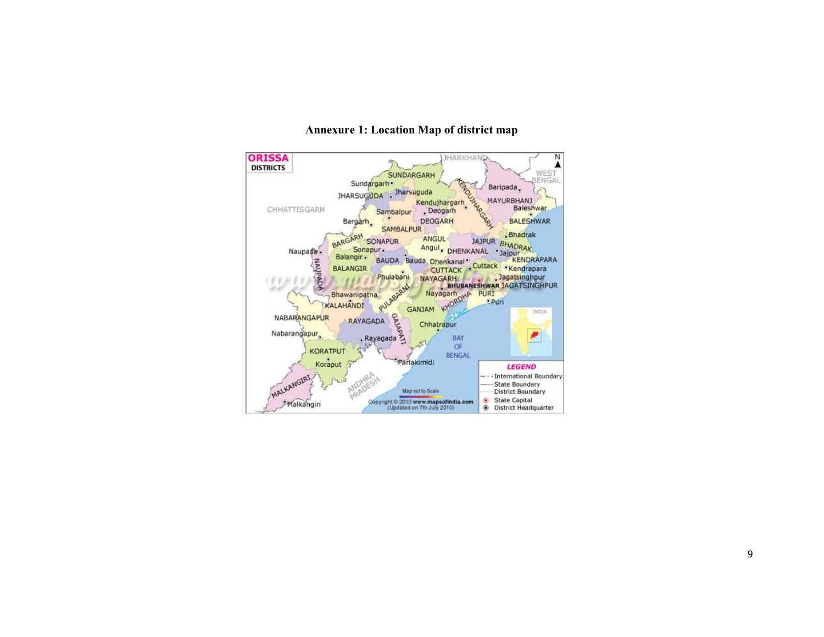

#### Annexure 1: Location Map of district map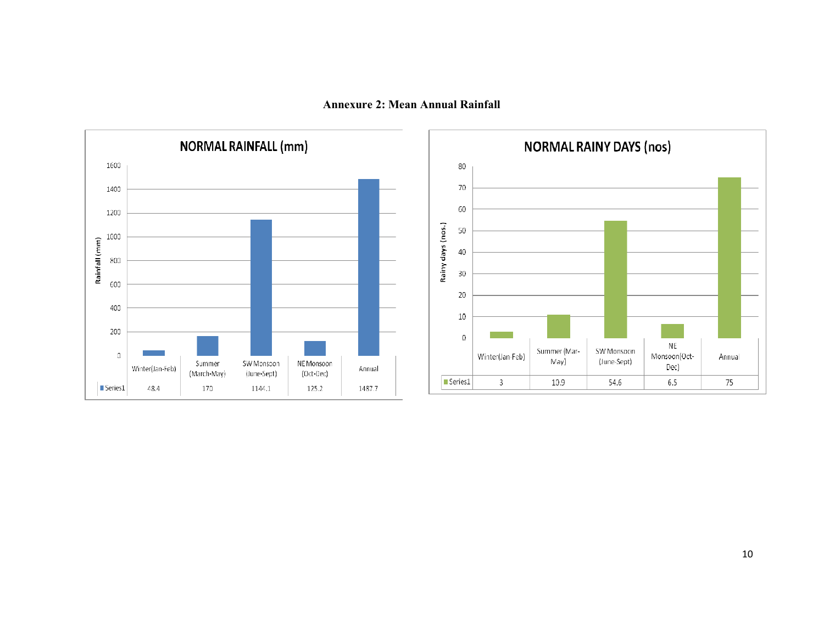Annexure 2: Mean Annual Rainfall



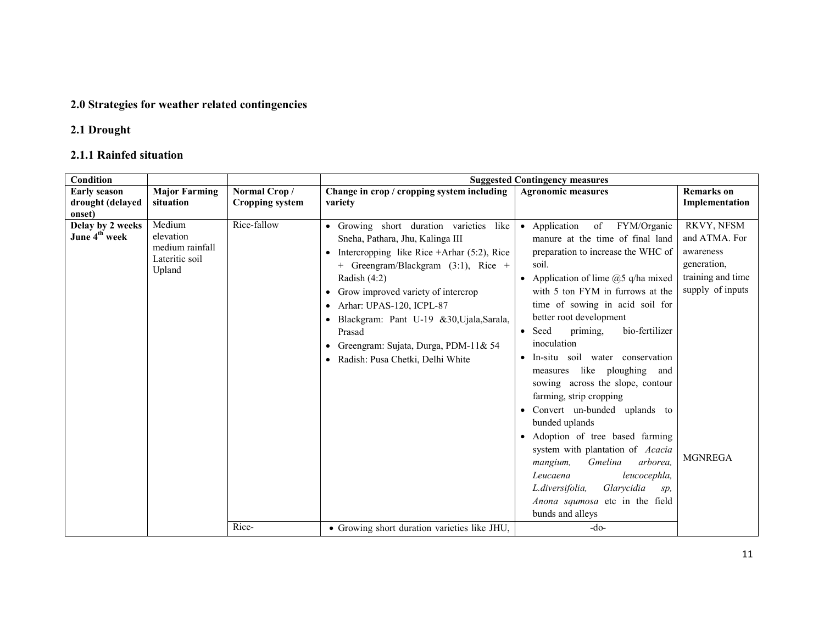## 2.0 Strategies for weather related contingencies

# 2.1 Drought

### 2.1.1 Rainfed situation

| Condition                                               |                                                                    |                 |                                                                                                                                                                                                                                                                                                                                                                                                           | <b>Suggested Contingency measures</b>                                                                                                                                                                                                                                                                                                                                                                                                                                                                                                                                                                                                                                                                                                                                                    |                                                                                                                    |
|---------------------------------------------------------|--------------------------------------------------------------------|-----------------|-----------------------------------------------------------------------------------------------------------------------------------------------------------------------------------------------------------------------------------------------------------------------------------------------------------------------------------------------------------------------------------------------------------|------------------------------------------------------------------------------------------------------------------------------------------------------------------------------------------------------------------------------------------------------------------------------------------------------------------------------------------------------------------------------------------------------------------------------------------------------------------------------------------------------------------------------------------------------------------------------------------------------------------------------------------------------------------------------------------------------------------------------------------------------------------------------------------|--------------------------------------------------------------------------------------------------------------------|
| <b>Early season</b>                                     | <b>Major Farming</b>                                               | Normal Crop/    | Change in crop / cropping system including                                                                                                                                                                                                                                                                                                                                                                | <b>Agronomic measures</b>                                                                                                                                                                                                                                                                                                                                                                                                                                                                                                                                                                                                                                                                                                                                                                | <b>Remarks</b> on                                                                                                  |
| drought (delayed                                        | situation                                                          | Cropping system | variety                                                                                                                                                                                                                                                                                                                                                                                                   |                                                                                                                                                                                                                                                                                                                                                                                                                                                                                                                                                                                                                                                                                                                                                                                          | Implementation                                                                                                     |
| onset)<br>Delay by 2 weeks<br>June 4 <sup>th</sup> week | Medium<br>elevation<br>medium rainfall<br>Lateritic soil<br>Upland | Rice-fallow     | • Growing short duration varieties<br>like<br>Sneha, Pathara, Jhu, Kalinga III<br>Intercropping like Rice $+A$ rhar (5:2), Rice<br>+ Greengram/Blackgram $(3:1)$ , Rice +<br>Radish $(4:2)$<br>Grow improved variety of intercrop<br>٠<br>Arhar: UPAS-120, ICPL-87<br>Blackgram: Pant U-19 &30, Ujala, Sarala,<br>Prasad<br>Greengram: Sujata, Durga, PDM-11& 54<br>٠<br>Radish: Pusa Chetki, Delhi White | • Application<br>of<br>FYM/Organic<br>manure at the time of final land<br>preparation to increase the WHC of<br>soil.<br>Application of lime $@5$ q/ha mixed<br>with 5 ton FYM in furrows at the<br>time of sowing in acid soil for<br>better root development<br>bio-fertilizer<br>Seed<br>priming,<br>$\bullet$<br>inoculation<br>In-situ soil water conservation<br>$\bullet$<br>like ploughing<br>measures<br>and<br>sowing across the slope, contour<br>farming, strip cropping<br>Convert un-bunded uplands to<br>$\bullet$<br>bunded uplands<br>• Adoption of tree based farming<br>system with plantation of Acacia<br>Gmelina<br>arborea.<br>mangium,<br>Leucaena<br>leucocephla,<br>Glarycidia<br>L.diversifolia,<br>sp,<br>Anona squmosa etc in the field<br>bunds and alleys | RKVY, NFSM<br>and ATMA. For<br>awareness<br>generation,<br>training and time<br>supply of inputs<br><b>MGNREGA</b> |
|                                                         |                                                                    | Rice-           | • Growing short duration varieties like JHU,                                                                                                                                                                                                                                                                                                                                                              | $-do-$                                                                                                                                                                                                                                                                                                                                                                                                                                                                                                                                                                                                                                                                                                                                                                                   |                                                                                                                    |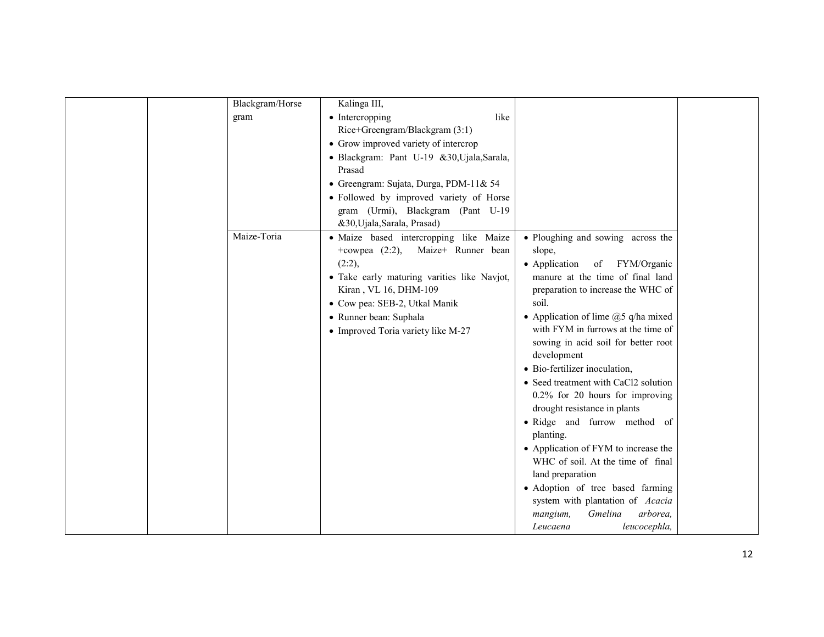| Blackgram/Horse | Kalinga III,                                |                                       |  |
|-----------------|---------------------------------------------|---------------------------------------|--|
| gram            | • Intercropping<br>like                     |                                       |  |
|                 | Rice+Greengram/Blackgram (3:1)              |                                       |  |
|                 | • Grow improved variety of intercrop        |                                       |  |
|                 | · Blackgram: Pant U-19 &30, Ujala, Sarala,  |                                       |  |
|                 | Prasad                                      |                                       |  |
|                 | · Greengram: Sujata, Durga, PDM-11& 54      |                                       |  |
|                 | • Followed by improved variety of Horse     |                                       |  |
|                 | gram (Urmi), Blackgram (Pant U-19           |                                       |  |
|                 | &30, Ujala, Sarala, Prasad)                 |                                       |  |
| Maize-Toria     | · Maize based intercropping like Maize      | • Ploughing and sowing across the     |  |
|                 | +cowpea $(2:2)$ ,<br>Maize+ Runner bean     | slope,                                |  |
|                 | (2:2),                                      | • Application<br>of<br>FYM/Organic    |  |
|                 | · Take early maturing varities like Navjot, | manure at the time of final land      |  |
|                 | Kiran, VL 16, DHM-109                       | preparation to increase the WHC of    |  |
|                 | • Cow pea: SEB-2, Utkal Manik               | soil.                                 |  |
|                 | • Runner bean: Suphala                      | • Application of lime $@5$ q/ha mixed |  |
|                 | • Improved Toria variety like M-27          | with FYM in furrows at the time of    |  |
|                 |                                             | sowing in acid soil for better root   |  |
|                 |                                             | development                           |  |
|                 |                                             | • Bio-fertilizer inoculation,         |  |
|                 |                                             | • Seed treatment with CaCl2 solution  |  |
|                 |                                             | $0.2\%$ for 20 hours for improving    |  |
|                 |                                             | drought resistance in plants          |  |
|                 |                                             | · Ridge and furrow method of          |  |
|                 |                                             | planting.                             |  |
|                 |                                             | • Application of FYM to increase the  |  |
|                 |                                             | WHC of soil. At the time of final     |  |
|                 |                                             | land preparation                      |  |
|                 |                                             | · Adoption of tree based farming      |  |
|                 |                                             | system with plantation of Acacia      |  |
|                 |                                             | arborea,<br>Gmelina<br>mangium,       |  |
|                 |                                             | leucocephla,<br>Leucaena              |  |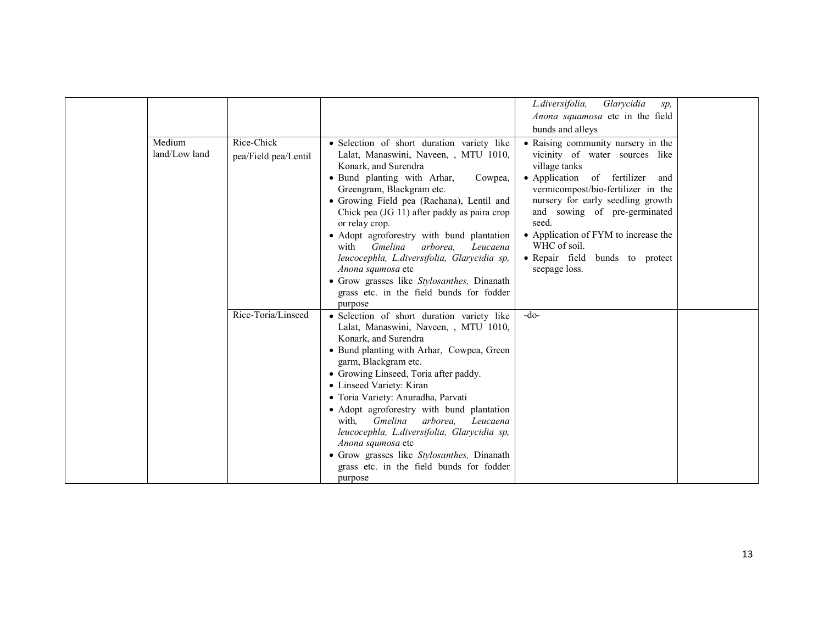|                         |                                    |                                                                                                                                                                                                                                                                                                                                                                                                                                                                                                                                                                             | L.diversifolia,<br>Glarycidia<br>sp,<br>Anona squamosa etc in the field<br>bunds and alleys                                                                                                                                                                                                                                                                       |  |
|-------------------------|------------------------------------|-----------------------------------------------------------------------------------------------------------------------------------------------------------------------------------------------------------------------------------------------------------------------------------------------------------------------------------------------------------------------------------------------------------------------------------------------------------------------------------------------------------------------------------------------------------------------------|-------------------------------------------------------------------------------------------------------------------------------------------------------------------------------------------------------------------------------------------------------------------------------------------------------------------------------------------------------------------|--|
| Medium<br>land/Low land | Rice-Chick<br>pea/Field pea/Lentil | · Selection of short duration variety like<br>Lalat, Manaswini, Naveen, , MTU 1010,<br>Konark, and Surendra<br>• Bund planting with Arhar,<br>Cowpea,<br>Greengram, Blackgram etc.<br>• Growing Field pea (Rachana), Lentil and<br>Chick pea (JG 11) after paddy as paira crop<br>or relay crop.<br>• Adopt agroforestry with bund plantation<br>Gmelina<br>with<br>arborea.<br>Leucaena<br>leucocephla, L.diversifolia, Glarycidia sp,<br>Anona squmosa etc<br>• Grow grasses like Stylosanthes, Dinanath<br>grass etc. in the field bunds for fodder<br>purpose           | • Raising community nursery in the<br>vicinity of water sources like<br>village tanks<br>• Application<br>of fertilizer<br>and<br>vermicompost/bio-fertilizer in the<br>nursery for early seedling growth<br>and sowing of pre-germinated<br>seed.<br>• Application of FYM to increase the<br>WHC of soil.<br>• Repair field<br>bunds to protect<br>seepage loss. |  |
|                         | Rice-Toria/Linseed                 | · Selection of short duration variety like<br>Lalat, Manaswini, Naveen, , MTU 1010,<br>Konark, and Surendra<br>• Bund planting with Arhar, Cowpea, Green<br>garm, Blackgram etc.<br>• Growing Linseed, Toria after paddy.<br>• Linseed Variety: Kiran<br>· Toria Variety: Anuradha, Parvati<br>• Adopt agroforestry with bund plantation<br><i><b>Gmelina</b></i><br>arborea.<br>with.<br>Leucaena<br>leucocephla, L.diversifolia, Glarycidia sp,<br>Anona squmosa etc<br>• Grow grasses like Stylosanthes, Dinanath<br>grass etc. in the field bunds for fodder<br>purpose | $-do-$                                                                                                                                                                                                                                                                                                                                                            |  |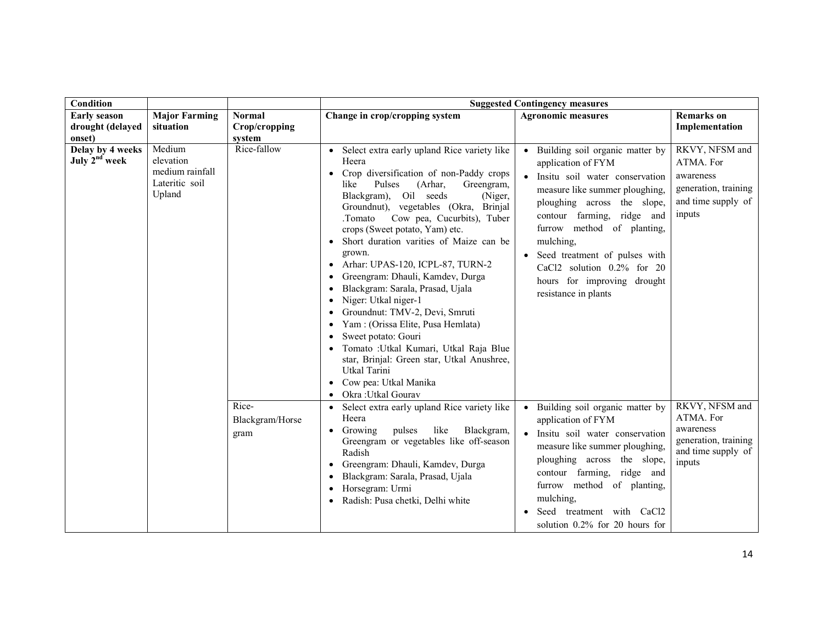| Condition                                     |                                                                    |                                  |                                                                                                                                                                                                                                                                                                                                                                                                                                                                                                                                                                                                                                                                                                                                                     | <b>Suggested Contingency measures</b>                                                                                                                                                                                                                                                                                                                   |                                                                                                  |
|-----------------------------------------------|--------------------------------------------------------------------|----------------------------------|-----------------------------------------------------------------------------------------------------------------------------------------------------------------------------------------------------------------------------------------------------------------------------------------------------------------------------------------------------------------------------------------------------------------------------------------------------------------------------------------------------------------------------------------------------------------------------------------------------------------------------------------------------------------------------------------------------------------------------------------------------|---------------------------------------------------------------------------------------------------------------------------------------------------------------------------------------------------------------------------------------------------------------------------------------------------------------------------------------------------------|--------------------------------------------------------------------------------------------------|
| <b>Early season</b><br>drought (delayed       | <b>Major Farming</b><br>situation                                  | <b>Normal</b><br>Crop/cropping   | Change in crop/cropping system                                                                                                                                                                                                                                                                                                                                                                                                                                                                                                                                                                                                                                                                                                                      | <b>Agronomic measures</b>                                                                                                                                                                                                                                                                                                                               | <b>Remarks</b> on<br>Implementation                                                              |
| onset)                                        |                                                                    | system                           |                                                                                                                                                                                                                                                                                                                                                                                                                                                                                                                                                                                                                                                                                                                                                     |                                                                                                                                                                                                                                                                                                                                                         |                                                                                                  |
| Delay by 4 weeks<br>July 2 <sup>nd</sup> week | Medium<br>elevation<br>medium rainfall<br>Lateritic soil<br>Upland | Rice-fallow                      | Select extra early upland Rice variety like<br>Heera<br>Crop diversification of non-Paddy crops<br>(Arhar,<br>Pulses<br>Greengram,<br>like<br>Blackgram),<br>Oil seeds<br>(Niger,<br>Groundnut), vegetables (Okra, Brinjal<br>Cow pea, Cucurbits), Tuber<br>.Tomato<br>crops (Sweet potato, Yam) etc.<br>Short duration varities of Maize can be<br>grown.<br>Arhar: UPAS-120, ICPL-87, TURN-2<br>Greengram: Dhauli, Kamdev, Durga<br>Blackgram: Sarala, Prasad, Ujala<br>Niger: Utkal niger-1<br>Groundnut: TMV-2, Devi, Smruti<br>Yam: (Orissa Elite, Pusa Hemlata)<br>Sweet potato: Gouri<br>Tomato : Utkal Kumari, Utkal Raja Blue<br>star, Brinjal: Green star, Utkal Anushree,<br>Utkal Tarini<br>Cow pea: Utkal Manika<br>Okra: Utkal Gourav | Building soil organic matter by<br>application of FYM<br>Insitu soil water conservation<br>measure like summer ploughing,<br>ploughing across the slope,<br>contour farming, ridge and<br>furrow method of planting,<br>mulching,<br>Seed treatment of pulses with<br>CaCl2 solution 0.2% for 20<br>hours for improving drought<br>resistance in plants | RKVY, NFSM and<br>ATMA. For<br>awareness<br>generation, training<br>and time supply of<br>inputs |
|                                               |                                                                    | Rice-<br>Blackgram/Horse<br>gram | Select extra early upland Rice variety like<br>Heera<br>Growing<br>pulses<br>like<br>Blackgram,<br>Greengram or vegetables like off-season<br>Radish<br>Greengram: Dhauli, Kamdev, Durga<br>Blackgram: Sarala, Prasad, Ujala<br>Horsegram: Urmi<br>Radish: Pusa chetki, Delhi white                                                                                                                                                                                                                                                                                                                                                                                                                                                                 | Building soil organic matter by<br>application of FYM<br>Insitu soil water conservation<br>measure like summer ploughing,<br>ploughing across the slope,<br>contour farming, ridge and<br>furrow method of planting,<br>mulching,<br>Seed treatment with CaCl2<br>solution $0.2\%$ for 20 hours for                                                     | RKVY, NFSM and<br>ATMA. For<br>awareness<br>generation, training<br>and time supply of<br>inputs |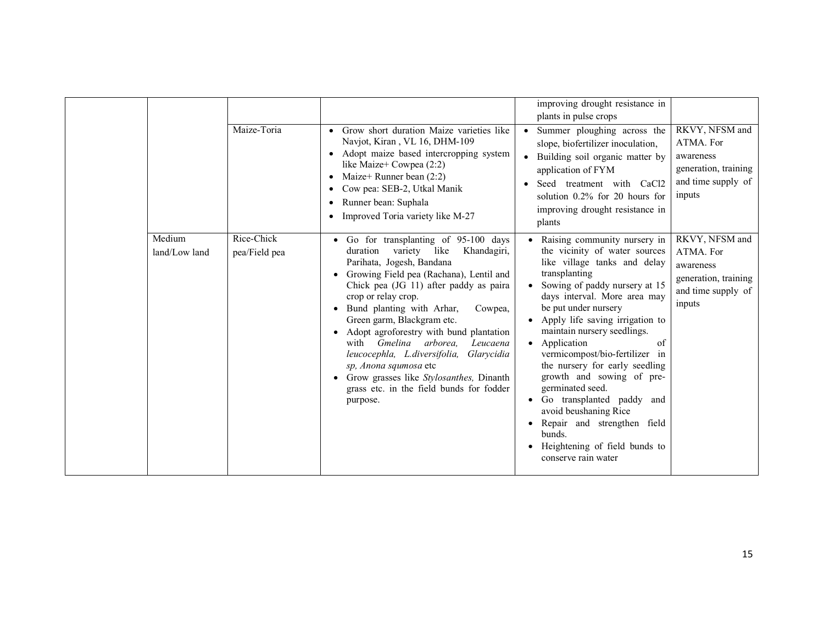|                         |                             |                                                                                                                                                                                                                                                                                                                                                                                                                                                                                                                                                                 | improving drought resistance in<br>plants in pulse crops                                                                                                                                                                                                                                                                                                                                                                                                                                                                                                                                                   |                                                                                                  |
|-------------------------|-----------------------------|-----------------------------------------------------------------------------------------------------------------------------------------------------------------------------------------------------------------------------------------------------------------------------------------------------------------------------------------------------------------------------------------------------------------------------------------------------------------------------------------------------------------------------------------------------------------|------------------------------------------------------------------------------------------------------------------------------------------------------------------------------------------------------------------------------------------------------------------------------------------------------------------------------------------------------------------------------------------------------------------------------------------------------------------------------------------------------------------------------------------------------------------------------------------------------------|--------------------------------------------------------------------------------------------------|
|                         | Maize-Toria                 | Grow short duration Maize varieties like<br>$\bullet$<br>Navjot, Kiran, VL 16, DHM-109<br>Adopt maize based intercropping system<br>$\bullet$<br>like Maize+ Cowpea (2:2)<br>Maize+ Runner bean $(2:2)$<br>$\bullet$<br>Cow pea: SEB-2, Utkal Manik<br>٠<br>Runner bean: Suphala<br>$\bullet$<br>Improved Toria variety like M-27                                                                                                                                                                                                                               | Summer ploughing across the<br>slope, biofertilizer inoculation,<br>Building soil organic matter by<br>application of FYM<br>Seed treatment with CaCl2<br>solution 0.2% for 20 hours for<br>improving drought resistance in<br>plants                                                                                                                                                                                                                                                                                                                                                                      | RKVY, NFSM and<br>ATMA. For<br>awareness<br>generation, training<br>and time supply of<br>inputs |
| Medium<br>land/Low land | Rice-Chick<br>pea/Field pea | Go for transplanting of 95-100 days<br>duration<br>variety like<br>Khandagiri,<br>Parihata, Jogesh, Bandana<br>Growing Field pea (Rachana), Lentil and<br>Chick pea (JG 11) after paddy as paira<br>crop or relay crop.<br>Bund planting with Arhar,<br>Cowpea,<br>Green garm, Blackgram etc.<br>Adopt agroforestry with bund plantation<br>with <i>Gmelina arborea</i> .<br>Leucaena<br>leucocephla, L.diversifolia,<br>Glarycidia<br>sp, Anona squmosa etc<br>Grow grasses like Stylosanthes, Dinanth<br>grass etc. in the field bunds for fodder<br>purpose. | • Raising community nursery in<br>the vicinity of water sources<br>like village tanks and delay<br>transplanting<br>Sowing of paddy nursery at 15<br>$\bullet$<br>days interval. More area may<br>be put under nursery<br>• Apply life saving irrigation to<br>maintain nursery seedlings.<br>• Application<br>of<br>vermicompost/bio-fertilizer in<br>the nursery for early seedling<br>growth and sowing of pre-<br>germinated seed.<br>Go transplanted paddy and<br>$\bullet$<br>avoid beushaning Rice<br>Repair and strengthen field<br>bunds.<br>Heightening of field bunds to<br>conserve rain water | RKVY, NFSM and<br>ATMA. For<br>awareness<br>generation, training<br>and time supply of<br>inputs |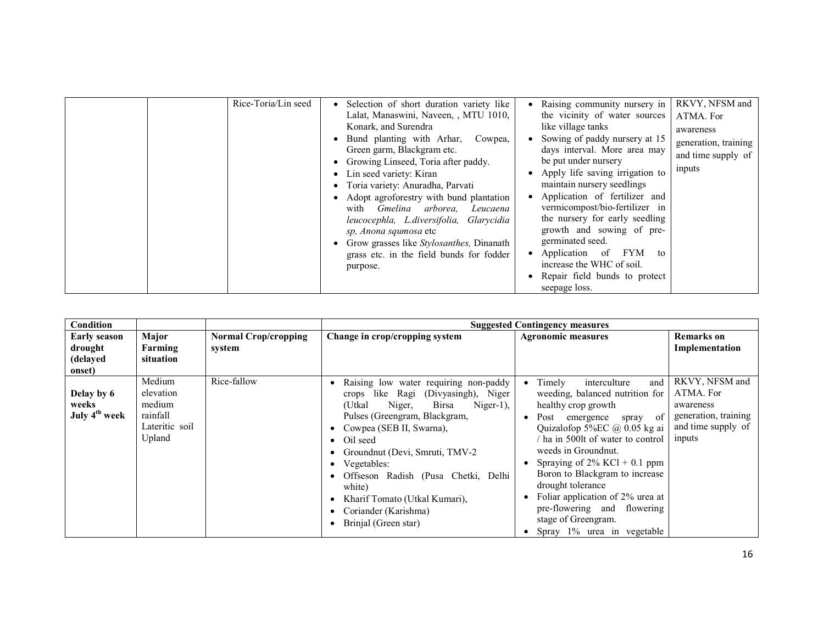| Rice-Toria/Lin seed | Selection of short duration variety like<br>Lalat, Manaswini, Naveen, , MTU 1010,<br>Konark, and Surendra<br>Bund planting with Arhar,<br>Cowpea,<br>Green garm, Blackgram etc.<br>• Growing Linseed, Toria after paddy.<br>• Lin seed variety: Kiran<br>Toria variety: Anuradha, Parvati<br>Adopt agroforestry with bund plantation<br>with <i>Gmelina arborea</i> .<br>Leucaena<br>leucocephla, L.diversifolia, Glarycidia<br>sp, Anona squmosa etc<br>Grow grasses like <i>Stylosanthes</i> , Dinanath<br>grass etc. in the field bunds for fodder<br>purpose. | • Raising community nursery in<br>the vicinity of water sources<br>like village tanks<br>Sowing of paddy nursery at 15<br>days interval. More area may<br>be put under nursery<br>Apply life saving irrigation to<br>maintain nursery seedlings<br>• Application of fertilizer and<br>vermicompost/bio-fertilizer in<br>the nursery for early seedling<br>growth and sowing of pre-<br>germinated seed.<br>Application of<br>FYM<br>to<br>$\bullet$<br>increase the WHC of soil.<br>Repair field bunds to protect<br>seepage loss. | RKVY, NFSM and<br>ATMA. For<br>awareness<br>generation, training<br>and time supply of<br>inputs |
|---------------------|-------------------------------------------------------------------------------------------------------------------------------------------------------------------------------------------------------------------------------------------------------------------------------------------------------------------------------------------------------------------------------------------------------------------------------------------------------------------------------------------------------------------------------------------------------------------|------------------------------------------------------------------------------------------------------------------------------------------------------------------------------------------------------------------------------------------------------------------------------------------------------------------------------------------------------------------------------------------------------------------------------------------------------------------------------------------------------------------------------------|--------------------------------------------------------------------------------------------------|

| Condition                                            |                                                                       |                                       |                                                                                                                                                                                                                                                                                                                                                                                                       | <b>Suggested Contingency measures</b>                                                                                                                                                                                                                                                                                                                                                                                                      |                                                                                                  |
|------------------------------------------------------|-----------------------------------------------------------------------|---------------------------------------|-------------------------------------------------------------------------------------------------------------------------------------------------------------------------------------------------------------------------------------------------------------------------------------------------------------------------------------------------------------------------------------------------------|--------------------------------------------------------------------------------------------------------------------------------------------------------------------------------------------------------------------------------------------------------------------------------------------------------------------------------------------------------------------------------------------------------------------------------------------|--------------------------------------------------------------------------------------------------|
| <b>Early season</b><br>drought<br>(delayed<br>onset) | Major<br>Farming<br>situation                                         | <b>Normal Crop/cropping</b><br>system | Change in crop/cropping system                                                                                                                                                                                                                                                                                                                                                                        | <b>Agronomic measures</b>                                                                                                                                                                                                                                                                                                                                                                                                                  | <b>Remarks</b> on<br>Implementation                                                              |
| Delay by 6<br>weeks<br>July 4 <sup>th</sup> week     | Medium<br>elevation<br>medium<br>rainfall<br>Lateritic soil<br>Upland | Rice-fallow                           | Raising low water requiring non-paddy<br>crops like Ragi<br>(Divyasingh), Niger<br>(Utkal<br><b>Birsa</b><br>Niger,<br>$Niger-1)$ ,<br>Pulses (Greengram, Blackgram,<br>• Cowpea (SEB II, Swarna),<br>• Oil seed<br>Groundnut (Devi, Smruti, TMV-2<br>• Vegetables:<br>Offseson Radish (Pusa Chetki, Delhi<br>white)<br>Kharif Tomato (Utkal Kumari),<br>Coriander (Karishma)<br>Brinjal (Green star) | Timely<br>interculture<br>and<br>weeding, balanced nutrition for<br>healthy crop growth<br>of<br>Post<br>emergence<br>spray<br>Quizalofop 5%EC @ 0.05 kg ai<br>ha in 500lt of water to control<br>weeds in Groundnut.<br>Spraying of $2\%$ KCl + 0.1 ppm<br>Boron to Blackgram to increase<br>drought tolerance<br>Foliar application of 2% urea at<br>pre-flowering and<br>flowering<br>stage of Greengram.<br>Spray 1% urea in vegetable | RKVY, NFSM and<br>ATMA. For<br>awareness<br>generation, training<br>and time supply of<br>inputs |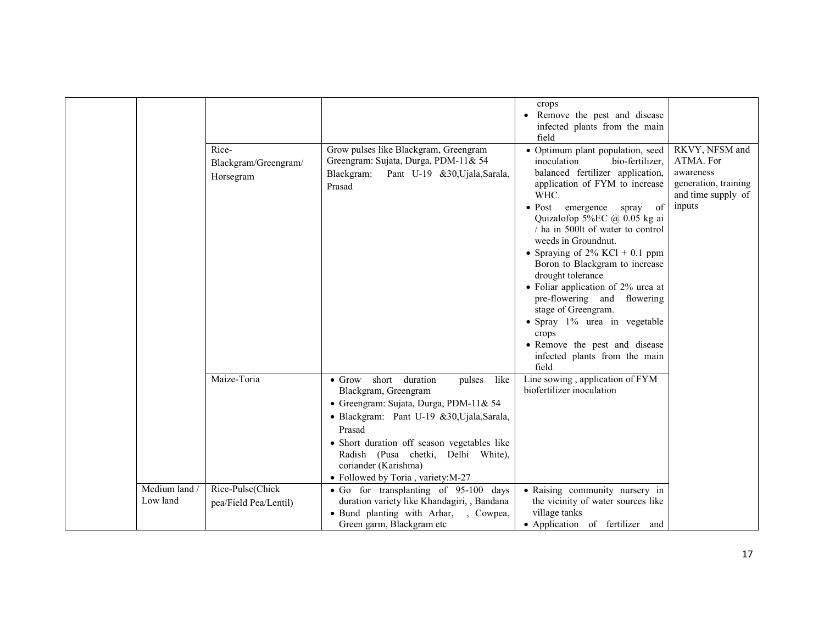|                           |                                            |                                                                                                                                                                                                                                                                                                                                 | crops<br>Remove the pest and disease<br>infected plants from the main                                                                                                                                                                                                                                                                                                                                                                                                                                                                                                                               |                                                                                                  |
|---------------------------|--------------------------------------------|---------------------------------------------------------------------------------------------------------------------------------------------------------------------------------------------------------------------------------------------------------------------------------------------------------------------------------|-----------------------------------------------------------------------------------------------------------------------------------------------------------------------------------------------------------------------------------------------------------------------------------------------------------------------------------------------------------------------------------------------------------------------------------------------------------------------------------------------------------------------------------------------------------------------------------------------------|--------------------------------------------------------------------------------------------------|
|                           | Rice-<br>Blackgram/Greengram/<br>Horsegram | Grow pulses like Blackgram, Greengram<br>Greengram: Sujata, Durga, PDM-11& 54<br>Blackgram:<br>Pant U-19 &30, Ujala, Sarala,<br>Prasad                                                                                                                                                                                          | field<br>• Optimum plant population, seed<br>inoculation<br>bio-fertilizer.<br>balanced fertilizer application,<br>application of FYM to increase<br>WHC.<br>$\bullet$ Post emergence<br>spray<br>of<br>Quizalofop 5%EC @ 0.05 kg ai<br>/ ha in 500lt of water to control<br>weeds in Groundnut.<br>• Spraying of $2\%$ KCl + 0.1 ppm<br>Boron to Blackgram to increase<br>drought tolerance<br>• Foliar application of 2% urea at<br>pre-flowering and flowering<br>stage of Greengram.<br>• Spray 1% urea in vegetable<br>crops<br>• Remove the pest and disease<br>infected plants from the main | RKVY, NFSM and<br>ATMA. For<br>awareness<br>generation, training<br>and time supply of<br>inputs |
|                           | Maize-Toria                                | short duration<br>$\bullet$ Grow<br>pulses<br>like<br>Blackgram, Greengram<br>• Greengram: Sujata, Durga, PDM-11& 54<br>· Blackgram: Pant U-19 &30, Ujala, Sarala,<br>Prasad<br>• Short duration off season vegetables like<br>Radish (Pusa chetki, Delhi White),<br>coriander (Karishma)<br>· Followed by Toria, variety: M-27 | field<br>Line sowing, application of FYM<br>biofertilizer inoculation                                                                                                                                                                                                                                                                                                                                                                                                                                                                                                                               |                                                                                                  |
| Medium land /<br>Low land | Rice-Pulse(Chick<br>pea/Field Pea/Lentil)  | · Go for transplanting of 95-100 days<br>duration variety like Khandagiri, , Bandana<br>• Bund planting with Arhar, , Cowpea,<br>Green garm, Blackgram etc                                                                                                                                                                      | • Raising community nursery in<br>the vicinity of water sources like<br>village tanks<br>• Application of fertilizer and                                                                                                                                                                                                                                                                                                                                                                                                                                                                            |                                                                                                  |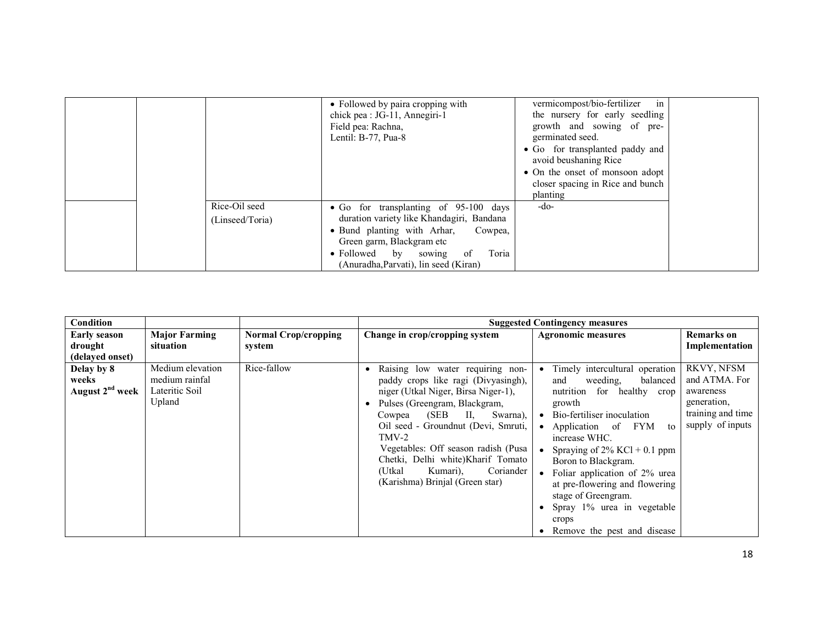|                 | • Followed by paira cropping with         | vermicompost/bio-fertilizer<br>in |  |
|-----------------|-------------------------------------------|-----------------------------------|--|
|                 | chick pea : JG-11, Annegiri-1             | the nursery for early seedling    |  |
|                 | Field pea: Rachna,                        | growth and sowing of pre-         |  |
|                 | Lentil: B-77, Pua-8                       | germinated seed.                  |  |
|                 |                                           | • Go for transplanted paddy and   |  |
|                 |                                           | avoid beushaning Rice             |  |
|                 |                                           | • On the onset of monsoon adopt   |  |
|                 |                                           | closer spacing in Rice and bunch  |  |
|                 |                                           | planting                          |  |
| Rice-Oil seed   | • Go for transplanting of 95-100 days     | -do-                              |  |
| (Linseed/Toria) | duration variety like Khandagiri, Bandana |                                   |  |
|                 | • Bund planting with Arhar,<br>Cowpea,    |                                   |  |
|                 | Green garm, Blackgram etc                 |                                   |  |
|                 | Toria<br>• Followed by sowing<br>- of     |                                   |  |
|                 | (Anuradha, Parvati), lin seed (Kiran)     |                                   |  |

| <b>Condition</b>                                   |                                                                |                                       |                                                                                                                                                                                                                                                                                                                                                                                         | <b>Suggested Contingency measures</b>                                                                                                                                                                                                                                                                                                                                                                                   |                                                                                                  |
|----------------------------------------------------|----------------------------------------------------------------|---------------------------------------|-----------------------------------------------------------------------------------------------------------------------------------------------------------------------------------------------------------------------------------------------------------------------------------------------------------------------------------------------------------------------------------------|-------------------------------------------------------------------------------------------------------------------------------------------------------------------------------------------------------------------------------------------------------------------------------------------------------------------------------------------------------------------------------------------------------------------------|--------------------------------------------------------------------------------------------------|
| <b>Early season</b><br>drought                     | <b>Major Farming</b><br>situation                              | <b>Normal Crop/cropping</b><br>system | Change in crop/cropping system                                                                                                                                                                                                                                                                                                                                                          | <b>Agronomic measures</b>                                                                                                                                                                                                                                                                                                                                                                                               | <b>Remarks</b> on<br>Implementation                                                              |
| (delayed onset)                                    |                                                                |                                       |                                                                                                                                                                                                                                                                                                                                                                                         |                                                                                                                                                                                                                                                                                                                                                                                                                         |                                                                                                  |
| Delay by 8<br>weeks<br>August 2 <sup>nd</sup> week | Medium elevation<br>medium rainfal<br>Lateritic Soil<br>Upland | Rice-fallow                           | Raising low water requiring non-<br>paddy crops like ragi (Divyasingh),<br>niger (Utkal Niger, Birsa Niger-1),<br>Pulses (Greengram, Blackgram,<br>(SEB<br>П,<br>Cowpea<br>Swarna),<br>Oil seed - Groundnut (Devi, Smruti,<br>TMV-2<br>Vegetables: Off season radish (Pusa)<br>Chetki, Delhi white)Kharif Tomato<br>(Utkal)<br>Coriander<br>Kumari).<br>(Karishma) Brinjal (Green star) | Timely intercultural operation<br>balanced<br>weeding,<br>and<br>nutrition for healthy crop<br>growth<br>Bio-fertiliser inoculation<br>$\bullet$<br>Application of FYM<br>to<br>increase WHC.<br>Spraying of $2\%$ KCl + 0.1 ppm<br>Boron to Blackgram.<br>Foliar application of 2% urea<br>at pre-flowering and flowering<br>stage of Greengram.<br>Spray 1% urea in vegetable<br>crops<br>Remove the pest and disease | RKVY, NFSM<br>and ATMA. For<br>awareness<br>generation,<br>training and time<br>supply of inputs |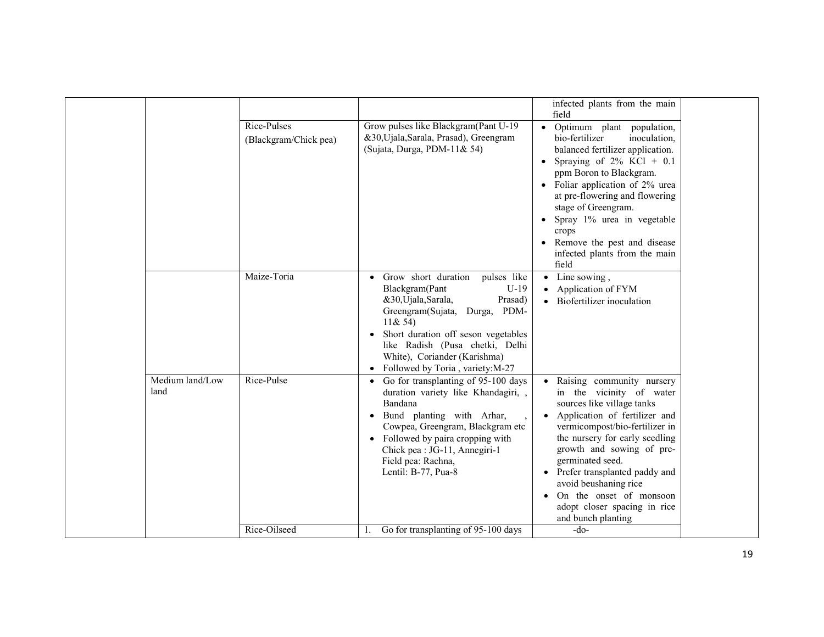|                         | Rice-Pulses<br>(Blackgram/Chick pea) | Grow pulses like Blackgram(Pant U-19<br>&30, Ujala, Sarala, Prasad), Greengram<br>(Sujata, Durga, PDM-11& 54)                                                                                                                                                                                                            | infected plants from the main<br>field<br>• Optimum plant population,<br>bio-fertilizer<br>inoculation,<br>balanced fertilizer application.<br>• Spraying of $2\%$ KCl + 0.1<br>ppm Boron to Blackgram.<br>• Foliar application of 2% urea<br>at pre-flowering and flowering<br>stage of Greengram.<br>Spray 1% urea in vegetable<br>crops<br>• Remove the pest and disease<br>infected plants from the main<br>field |  |
|-------------------------|--------------------------------------|--------------------------------------------------------------------------------------------------------------------------------------------------------------------------------------------------------------------------------------------------------------------------------------------------------------------------|-----------------------------------------------------------------------------------------------------------------------------------------------------------------------------------------------------------------------------------------------------------------------------------------------------------------------------------------------------------------------------------------------------------------------|--|
|                         | Maize-Toria                          | • Grow short duration<br>pulses like<br>Blackgram(Pant<br>$U-19$<br>&30, Ujala, Sarala,<br>Prasad)<br>Durga, PDM-<br>Greengram(Sujata,<br>11 & 54<br>Short duration off seson vegetables<br>$\bullet$<br>like Radish (Pusa chetki, Delhi<br>White), Coriander (Karishma)<br>Followed by Toria, variety:M-27<br>$\bullet$ | $\bullet$ Line sowing,<br>• Application of FYM<br>• Biofertilizer inoculation                                                                                                                                                                                                                                                                                                                                         |  |
| Medium land/Low<br>land | Rice-Pulse                           | Go for transplanting of 95-100 days<br>$\bullet$<br>duration variety like Khandagiri,,<br>Bandana<br>Bund planting with Arhar,<br>$\bullet$<br>Cowpea, Greengram, Blackgram etc<br>• Followed by paira cropping with<br>Chick pea : JG-11, Annegiri-1<br>Field pea: Rachna,<br>Lentil: B-77, Pua-8                       | Raising community nursery<br>in the vicinity of water<br>sources like village tanks<br>• Application of fertilizer and<br>vermicompost/bio-fertilizer in<br>the nursery for early seedling<br>growth and sowing of pre-<br>germinated seed.<br>• Prefer transplanted paddy and<br>avoid beushaning rice<br>• On the onset of monsoon<br>adopt closer spacing in rice<br>and bunch planting                            |  |
|                         | Rice-Oilseed                         | Go for transplanting of 95-100 days                                                                                                                                                                                                                                                                                      | $-do-$                                                                                                                                                                                                                                                                                                                                                                                                                |  |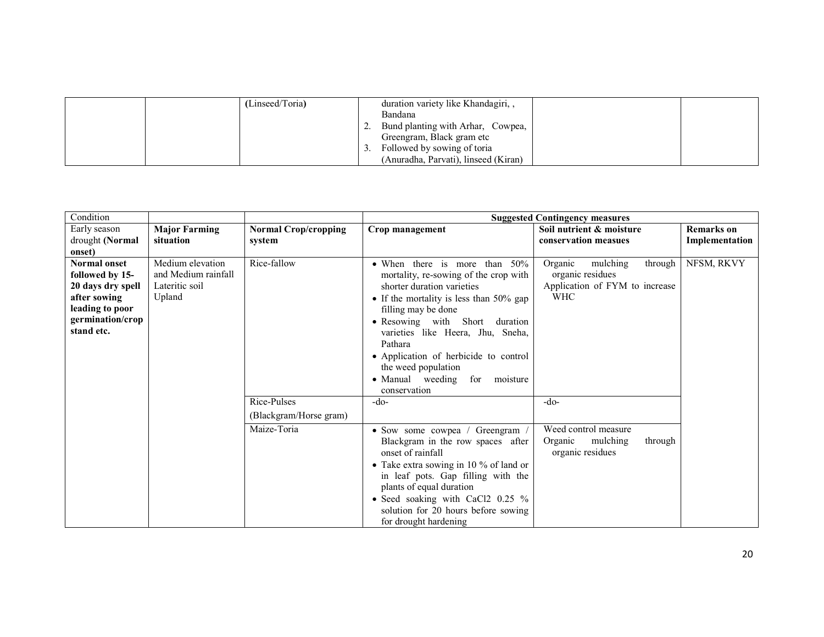|  | (Linseed/Toria) | duration variety like Khandagiri,,   |  |
|--|-----------------|--------------------------------------|--|
|  |                 | Bandana                              |  |
|  |                 | Bund planting with Arhar, Cowpea,    |  |
|  |                 | Greengram, Black gram etc            |  |
|  |                 | Followed by sowing of toria          |  |
|  |                 | (Anuradha, Parvati), linseed (Kiran) |  |

| Condition                                                                                                                        |                                                                     |                                       |                                                                                                                                                                                                                                                                                                                                                                                    | <b>Suggested Contingency measures</b>                                                              |                                     |
|----------------------------------------------------------------------------------------------------------------------------------|---------------------------------------------------------------------|---------------------------------------|------------------------------------------------------------------------------------------------------------------------------------------------------------------------------------------------------------------------------------------------------------------------------------------------------------------------------------------------------------------------------------|----------------------------------------------------------------------------------------------------|-------------------------------------|
| Early season<br>drought (Normal                                                                                                  | <b>Major Farming</b><br>situation                                   | <b>Normal Crop/cropping</b><br>system | Crop management                                                                                                                                                                                                                                                                                                                                                                    | Soil nutrient & moisture<br>conservation measues                                                   | <b>Remarks</b> on<br>Implementation |
| onset)                                                                                                                           |                                                                     |                                       |                                                                                                                                                                                                                                                                                                                                                                                    |                                                                                                    |                                     |
| <b>Normal onset</b><br>followed by 15-<br>20 days dry spell<br>after sowing<br>leading to poor<br>germination/crop<br>stand etc. | Medium elevation<br>and Medium rainfall<br>Lateritic soil<br>Upland | Rice-fallow                           | • When there is more than 50%<br>mortality, re-sowing of the crop with<br>shorter duration varieties<br>• If the mortality is less than 50% gap<br>filling may be done<br>• Resowing with Short<br>duration<br>varieties like Heera, Jhu, Sneha,<br>Pathara<br>• Application of herbicide to control<br>the weed population<br>• Manual weeding<br>moisture<br>for<br>conservation | mulching<br>through<br>Organic<br>organic residues<br>Application of FYM to increase<br><b>WHC</b> | NFSM, RKVY                          |
|                                                                                                                                  |                                                                     | Rice-Pulses                           | -do-                                                                                                                                                                                                                                                                                                                                                                               | $-do-$                                                                                             |                                     |
|                                                                                                                                  |                                                                     | (Blackgram/Horse gram)                |                                                                                                                                                                                                                                                                                                                                                                                    |                                                                                                    |                                     |
|                                                                                                                                  |                                                                     | Maize-Toria                           | • Sow some cowpea / Greengram /<br>Blackgram in the row spaces after<br>onset of rainfall<br>• Take extra sowing in 10 % of land or<br>in leaf pots. Gap filling with the<br>plants of equal duration<br>• Seed soaking with CaCl2 0.25 %<br>solution for 20 hours before sowing<br>for drought hardening                                                                          | Weed control measure<br>Organic<br>mulching<br>through<br>organic residues                         |                                     |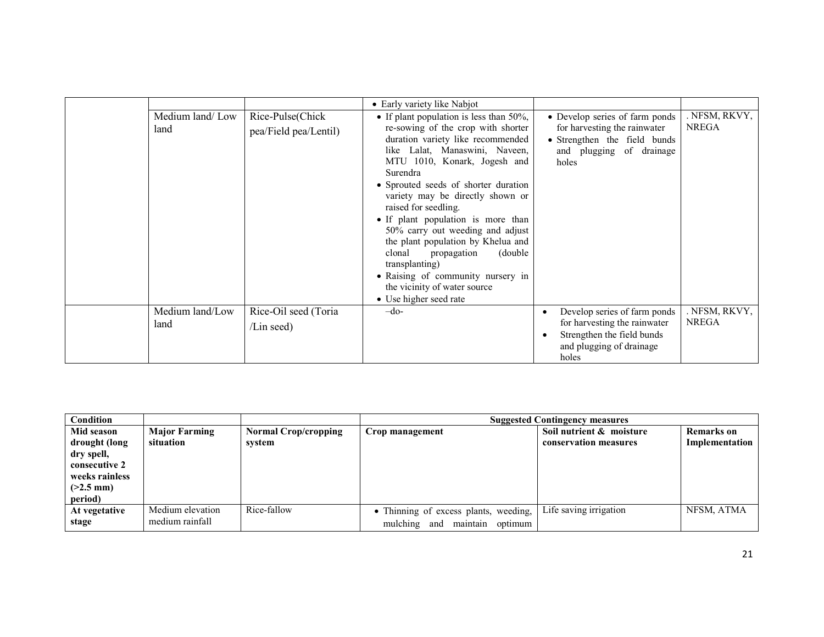| Medium land/Low<br>land | Rice-Pulse(Chick<br>pea/Field pea/Lentil) | • Early variety like Nabjot<br>• If plant population is less than 50%,<br>re-sowing of the crop with shorter<br>duration variety like recommended<br>like Lalat, Manaswini, Naveen,<br>MTU 1010, Konark, Jogesh and<br>Surendra<br>• Sprouted seeds of shorter duration<br>variety may be directly shown or<br>raised for seedling.<br>• If plant population is more than<br>50% carry out weeding and adjust<br>the plant population by Khelua and<br>clonal<br>(double)<br>propagation<br>transplanting)<br>• Raising of community nursery in<br>the vicinity of water source<br>• Use higher seed rate | • Develop series of farm ponds<br>for harvesting the rainwater<br>• Strengthen the field bunds<br>and plugging of drainage<br>holes | . NFSM, RKVY,<br><b>NREGA</b> |
|-------------------------|-------------------------------------------|-----------------------------------------------------------------------------------------------------------------------------------------------------------------------------------------------------------------------------------------------------------------------------------------------------------------------------------------------------------------------------------------------------------------------------------------------------------------------------------------------------------------------------------------------------------------------------------------------------------|-------------------------------------------------------------------------------------------------------------------------------------|-------------------------------|
| Medium land/Low<br>land | Rice-Oil seed (Toria<br>$/Lin$ seed)      | $-do-$                                                                                                                                                                                                                                                                                                                                                                                                                                                                                                                                                                                                    | Develop series of farm ponds<br>for harvesting the rainwater<br>Strengthen the field bunds<br>and plugging of drainage<br>holes     | . NFSM, RKVY,<br><b>NREGA</b> |

| Condition                       |                      |                             |                                       | <b>Suggested Contingency measures</b> |                   |
|---------------------------------|----------------------|-----------------------------|---------------------------------------|---------------------------------------|-------------------|
| Mid season                      | <b>Major Farming</b> | <b>Normal Crop/cropping</b> | Crop management                       | Soil nutrient & moisture              | <b>Remarks</b> on |
| drought (long                   | situation            | system                      |                                       | conservation measures                 | Implementation    |
| dry spell,                      |                      |                             |                                       |                                       |                   |
| consecutive 2<br>weeks rainless |                      |                             |                                       |                                       |                   |
| $(>2.5$ mm)                     |                      |                             |                                       |                                       |                   |
| period)                         |                      |                             |                                       |                                       |                   |
| At vegetative                   | Medium elevation     | Rice-fallow                 | • Thinning of excess plants, weeding, | Life saving irrigation                | NFSM, ATMA        |
| stage                           | medium rainfall      |                             | maintain<br>mulching and<br>optimum   |                                       |                   |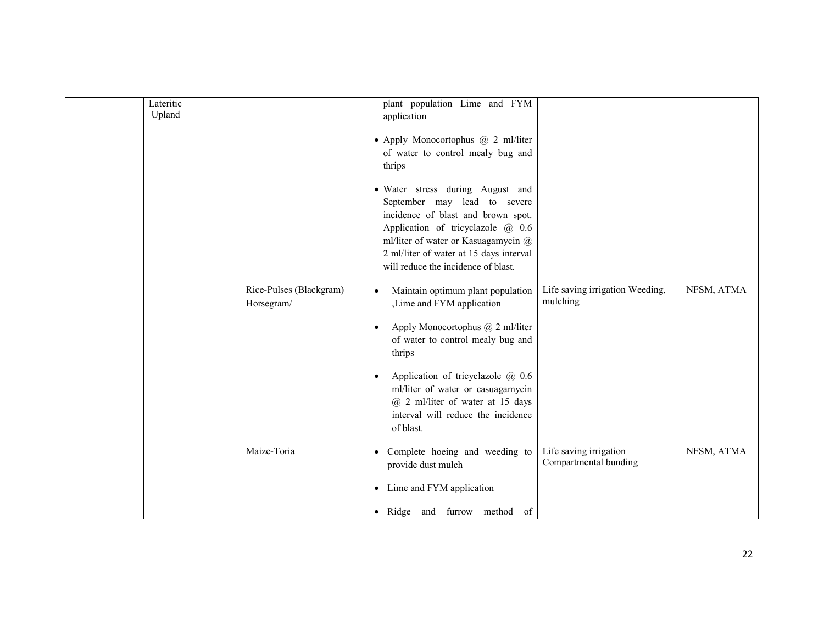| Lateritic<br>Upland |                                       | plant population Lime and FYM<br>application                                                                                                                                                                                                                                                                                                                |                                                 |            |
|---------------------|---------------------------------------|-------------------------------------------------------------------------------------------------------------------------------------------------------------------------------------------------------------------------------------------------------------------------------------------------------------------------------------------------------------|-------------------------------------------------|------------|
|                     |                                       | • Apply Monocortophus @ 2 ml/liter<br>of water to control mealy bug and<br>thrips                                                                                                                                                                                                                                                                           |                                                 |            |
|                     |                                       | · Water stress during August and<br>September may lead to severe<br>incidence of blast and brown spot.<br>Application of tricyclazole @ 0.6<br>ml/liter of water or Kasuagamycin @<br>2 ml/liter of water at 15 days interval<br>will reduce the incidence of blast.                                                                                        |                                                 |            |
|                     | Rice-Pulses (Blackgram)<br>Horsegram/ | Maintain optimum plant population<br>$\bullet$<br>Lime and FYM application<br>Apply Monocortophus @ 2 ml/liter<br>٠<br>of water to control mealy bug and<br>thrips<br>Application of tricyclazole $\omega$ , 0.6<br>$\bullet$<br>ml/liter of water or casuagamycin<br>$@$ 2 ml/liter of water at 15 days<br>interval will reduce the incidence<br>of blast. | Life saving irrigation Weeding,<br>mulching     | NFSM, ATMA |
|                     | Maize-Toria                           | Complete hoeing and weeding to<br>$\bullet$<br>provide dust mulch<br>Lime and FYM application<br>$\bullet$<br>Ridge and furrow method of<br>$\bullet$                                                                                                                                                                                                       | Life saving irrigation<br>Compartmental bunding | NFSM, ATMA |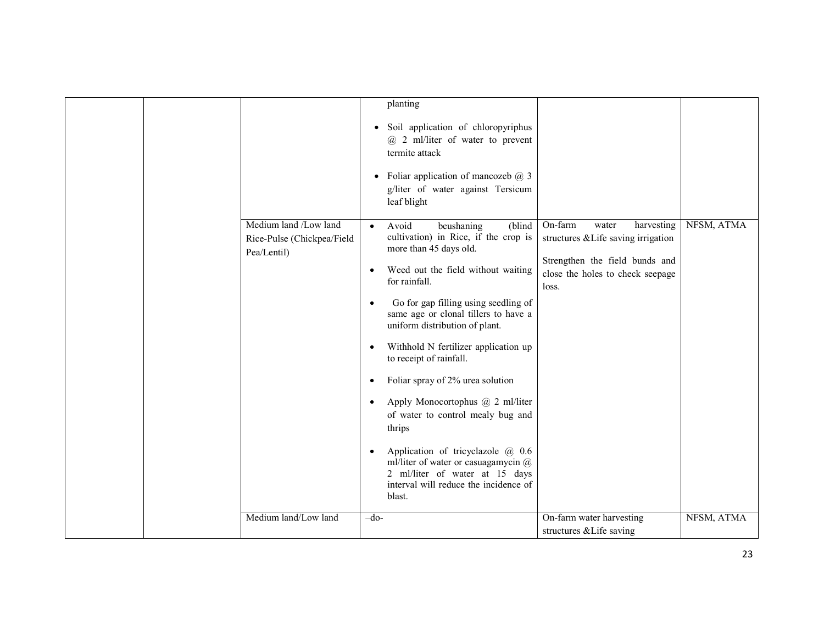|                                                                    | planting                                                                                                                                                      |                                                                             |            |
|--------------------------------------------------------------------|---------------------------------------------------------------------------------------------------------------------------------------------------------------|-----------------------------------------------------------------------------|------------|
|                                                                    | Soil application of chloropyriphus<br>$\bullet$<br>$(a)$ 2 ml/liter of water to prevent<br>termite attack                                                     |                                                                             |            |
|                                                                    | Foliar application of mancozeb $@$ 3<br>$\bullet$<br>g/liter of water against Tersicum<br>leaf blight                                                         |                                                                             |            |
| Medium land /Low land<br>Rice-Pulse (Chickpea/Field<br>Pea/Lentil) | Avoid<br>(blind<br>beushaning<br>$\bullet$<br>cultivation) in Rice, if the crop is<br>more than 45 days old.                                                  | On-farm<br>harvesting<br>water<br>structures & Life saving irrigation       | NFSM, ATMA |
|                                                                    | Weed out the field without waiting<br>for rainfall.                                                                                                           | Strengthen the field bunds and<br>close the holes to check seepage<br>loss. |            |
|                                                                    | Go for gap filling using seedling of<br>$\bullet$<br>same age or clonal tillers to have a<br>uniform distribution of plant.                                   |                                                                             |            |
|                                                                    | Withhold N fertilizer application up<br>to receipt of rainfall.                                                                                               |                                                                             |            |
|                                                                    | Foliar spray of 2% urea solution                                                                                                                              |                                                                             |            |
|                                                                    | Apply Monocortophus @ 2 ml/liter<br>$\bullet$<br>of water to control mealy bug and<br>thrips                                                                  |                                                                             |            |
|                                                                    | Application of tricyclazole @ 0.6<br>ml/liter of water or casuagamycin @<br>2 ml/liter of water at 15 days<br>interval will reduce the incidence of<br>blast. |                                                                             |            |
| Medium land/Low land                                               | $-do-$                                                                                                                                                        | On-farm water harvesting<br>structures & Life saving                        | NFSM, ATMA |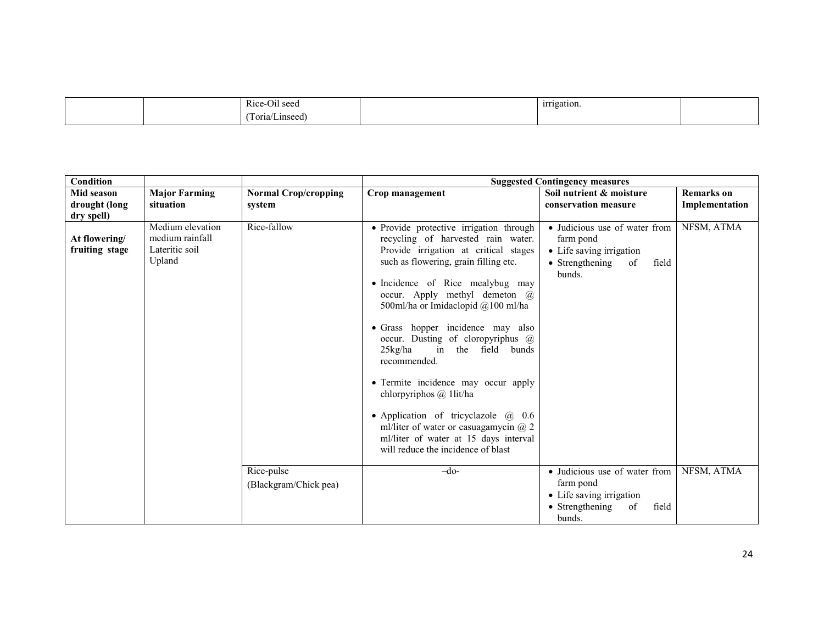|  | $\mathbf{r}$<br>$ -$<br>Rice-Oil seed<br>$\sim$ $\sim$ $\sim$ $\sim$ $\sim$ $\sim$ $\sim$ | -irrigation. |  |
|--|-------------------------------------------------------------------------------------------|--------------|--|
|  | $\sqrt{2}$<br>l'oria<br>∡Linseed)                                                         |              |  |

| Condition                       |                                                                 |                                       |                                                                                                                                                                                                                                                                                                                                                                                                                                                                                                                                                                                                                                                                           | <b>Suggested Contingency measures</b>                                                                              |                                     |
|---------------------------------|-----------------------------------------------------------------|---------------------------------------|---------------------------------------------------------------------------------------------------------------------------------------------------------------------------------------------------------------------------------------------------------------------------------------------------------------------------------------------------------------------------------------------------------------------------------------------------------------------------------------------------------------------------------------------------------------------------------------------------------------------------------------------------------------------------|--------------------------------------------------------------------------------------------------------------------|-------------------------------------|
| Mid season<br>drought (long     | <b>Major Farming</b><br>situation                               | <b>Normal Crop/cropping</b><br>system | Crop management                                                                                                                                                                                                                                                                                                                                                                                                                                                                                                                                                                                                                                                           | Soil nutrient & moisture<br>conservation measure                                                                   | <b>Remarks</b> on<br>Implementation |
| dry spell)                      |                                                                 |                                       |                                                                                                                                                                                                                                                                                                                                                                                                                                                                                                                                                                                                                                                                           |                                                                                                                    |                                     |
| At flowering/<br>fruiting stage | Medium elevation<br>medium rainfall<br>Lateritic soil<br>Upland | Rice-fallow                           | • Provide protective irrigation through<br>recycling of harvested rain water.<br>Provide irrigation at critical stages<br>such as flowering, grain filling etc.<br>• Incidence of Rice mealybug may<br>occur. Apply methyl demeton @<br>500ml/ha or Imidaclopid @100 ml/ha<br>• Grass hopper incidence may also<br>occur. Dusting of cloropyriphus $\omega$<br>$25$ kg/ha<br>field bunds<br>in the<br>recommended.<br>• Termite incidence may occur apply<br>chlorpyriphos $\omega$ 1 lit/ha<br>• Application of tricyclazole $\omega$ 0.6<br>ml/liter of water or casuagamycin $\omega$ 2<br>ml/liter of water at 15 days interval<br>will reduce the incidence of blast | • Judicious use of water from<br>farm pond<br>• Life saving irrigation<br>• Strengthening<br>of<br>field<br>bunds. | NFSM, ATMA                          |
|                                 |                                                                 | Rice-pulse                            | $-do-$                                                                                                                                                                                                                                                                                                                                                                                                                                                                                                                                                                                                                                                                    | • Judicious use of water from                                                                                      | NFSM, ATMA                          |
|                                 |                                                                 | (Blackgram/Chick pea)                 |                                                                                                                                                                                                                                                                                                                                                                                                                                                                                                                                                                                                                                                                           | farm pond<br>• Life saving irrigation                                                                              |                                     |
|                                 |                                                                 |                                       |                                                                                                                                                                                                                                                                                                                                                                                                                                                                                                                                                                                                                                                                           | $\bullet$ Strengthening<br>of<br>field                                                                             |                                     |
|                                 |                                                                 |                                       |                                                                                                                                                                                                                                                                                                                                                                                                                                                                                                                                                                                                                                                                           | bunds.                                                                                                             |                                     |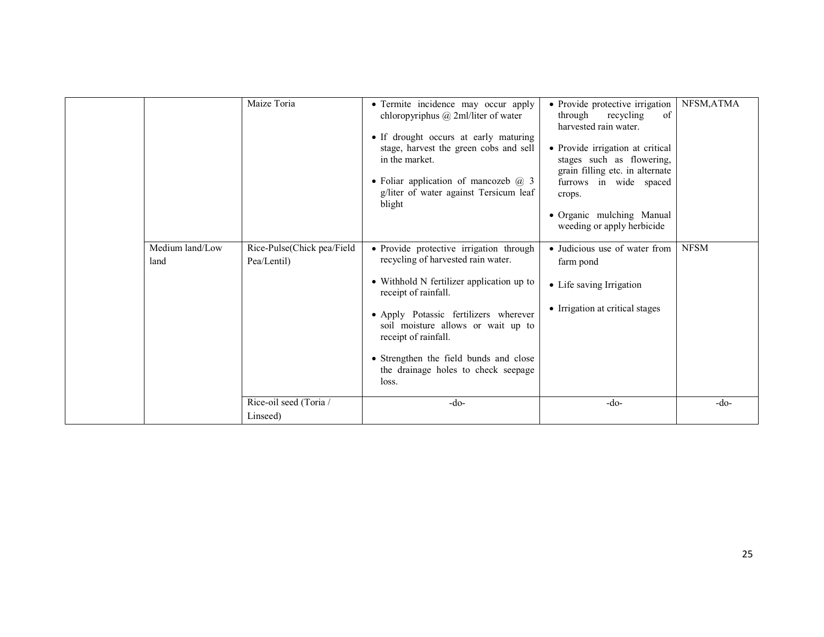|                         | Rice-oil seed (Toria /<br>Linseed)        | loss.<br>$-do-$                                                                                                                                                                                                                                                                        | $-do-$                                                                                                                                                                                                                                                                                    | $-do-$      |
|-------------------------|-------------------------------------------|----------------------------------------------------------------------------------------------------------------------------------------------------------------------------------------------------------------------------------------------------------------------------------------|-------------------------------------------------------------------------------------------------------------------------------------------------------------------------------------------------------------------------------------------------------------------------------------------|-------------|
|                         |                                           | • Strengthen the field bunds and close<br>the drainage holes to check seepage                                                                                                                                                                                                          |                                                                                                                                                                                                                                                                                           |             |
|                         |                                           | • Apply Potassic fertilizers wherever<br>soil moisture allows or wait up to<br>receipt of rainfall.                                                                                                                                                                                    | • Irrigation at critical stages                                                                                                                                                                                                                                                           |             |
|                         |                                           | • Withhold N fertilizer application up to<br>receipt of rainfall.                                                                                                                                                                                                                      | • Life saving Irrigation                                                                                                                                                                                                                                                                  |             |
| Medium land/Low<br>land | Rice-Pulse(Chick pea/Field<br>Pea/Lentil) | • Provide protective irrigation through<br>recycling of harvested rain water.                                                                                                                                                                                                          | • Judicious use of water from<br>farm pond                                                                                                                                                                                                                                                | <b>NFSM</b> |
|                         |                                           | • Termite incidence may occur apply<br>chloropyriphus $(a)$ 2ml/liter of water<br>• If drought occurs at early maturing<br>stage, harvest the green cobs and sell<br>in the market.<br>• Foliar application of mancozeb $\omega$ 3<br>g/liter of water against Tersicum leaf<br>blight | • Provide protective irrigation<br>through<br>recycling<br>of<br>harvested rain water.<br>• Provide irrigation at critical<br>stages such as flowering,<br>grain filling etc. in alternate<br>furrows in wide spaced<br>crops.<br>· Organic mulching Manual<br>weeding or apply herbicide |             |
|                         | Maize Toria                               |                                                                                                                                                                                                                                                                                        |                                                                                                                                                                                                                                                                                           | NFSM, ATMA  |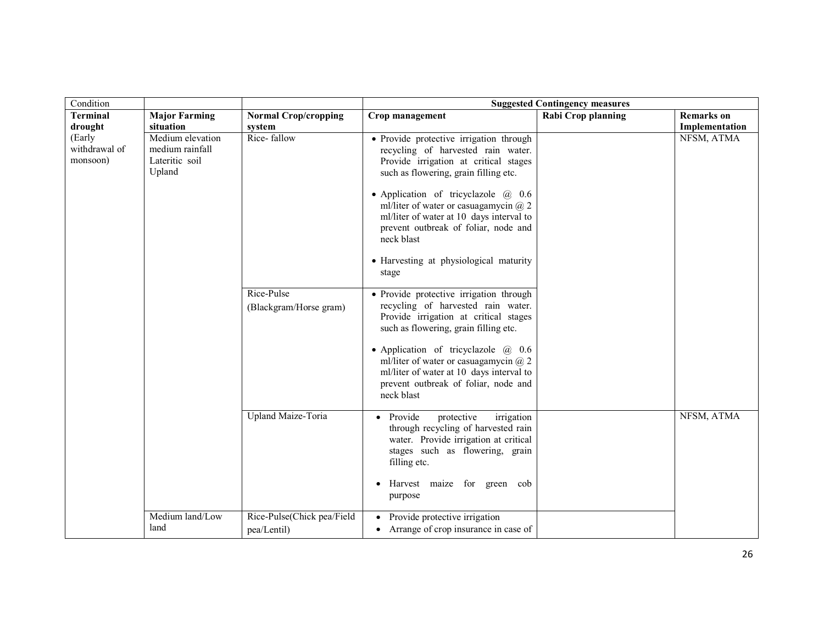| Condition                           |                                                                 |                                           |                                                                                                                                                                                                                                                                                                                                                                                                                    | <b>Suggested Contingency measures</b> |                                     |
|-------------------------------------|-----------------------------------------------------------------|-------------------------------------------|--------------------------------------------------------------------------------------------------------------------------------------------------------------------------------------------------------------------------------------------------------------------------------------------------------------------------------------------------------------------------------------------------------------------|---------------------------------------|-------------------------------------|
| <b>Terminal</b><br>drought          | <b>Major Farming</b><br>situation                               | <b>Normal Crop/cropping</b><br>system     | Crop management                                                                                                                                                                                                                                                                                                                                                                                                    | <b>Rabi Crop planning</b>             | <b>Remarks</b> on<br>Implementation |
| (Early<br>withdrawal of<br>monsoon) | Medium elevation<br>medium rainfall<br>Lateritic soil<br>Upland | Rice-fallow                               | • Provide protective irrigation through<br>recycling of harvested rain water.<br>Provide irrigation at critical stages<br>such as flowering, grain filling etc.<br>• Application of tricyclazole $\omega$ 0.6<br>ml/liter of water or casuagamycin $\omega$ 2<br>ml/liter of water at 10 days interval to<br>prevent outbreak of foliar, node and<br>neck blast<br>• Harvesting at physiological maturity<br>stage |                                       | NFSM, ATMA                          |
|                                     |                                                                 | Rice-Pulse<br>(Blackgram/Horse gram)      | • Provide protective irrigation through<br>recycling of harvested rain water.<br>Provide irrigation at critical stages<br>such as flowering, grain filling etc.<br>• Application of tricyclazole $\omega$ 0.6<br>ml/liter of water or casuagamycin $\omega$ 2<br>ml/liter of water at 10 days interval to<br>prevent outbreak of foliar, node and<br>neck blast                                                    |                                       |                                     |
|                                     |                                                                 | Upland Maize-Toria                        | • Provide<br>protective<br>irrigation<br>through recycling of harvested rain<br>water. Provide irrigation at critical<br>stages such as flowering, grain<br>filling etc.<br>Harvest maize for green cob<br>purpose                                                                                                                                                                                                 |                                       | NFSM, ATMA                          |
|                                     | Medium land/Low<br>land                                         | Rice-Pulse(Chick pea/Field<br>pea/Lentil) | Provide protective irrigation<br>Arrange of crop insurance in case of                                                                                                                                                                                                                                                                                                                                              |                                       |                                     |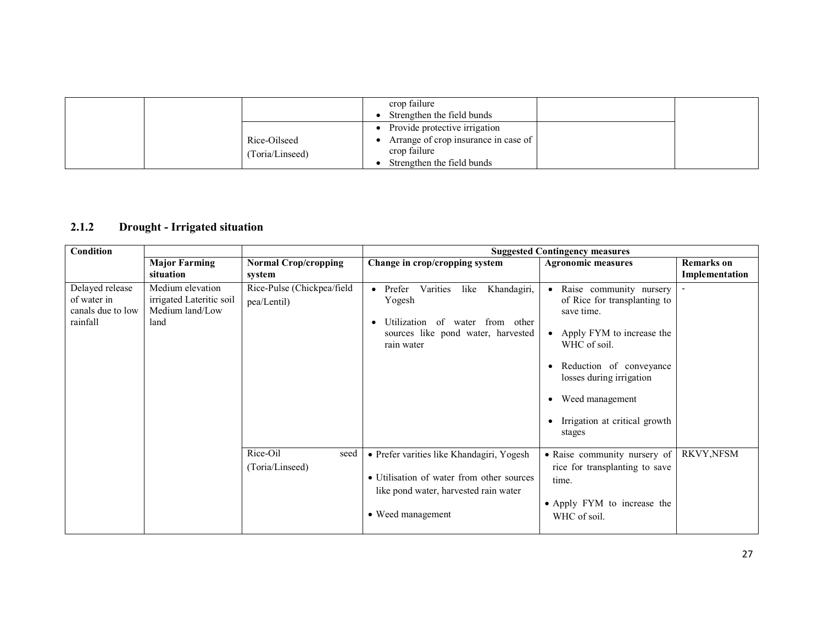|                                 | crop failure<br>Strengthen the field bunds                                                                            |  |
|---------------------------------|-----------------------------------------------------------------------------------------------------------------------|--|
| Rice-Oilseed<br>(Toria/Linseed) | • Provide protective irrigation<br>Arrange of crop insurance in case of<br>crop failure<br>Strengthen the field bunds |  |

### 2.1.2 Drought - Irrigated situation

| <b>Condition</b>                                                |                                                                         |                                           |                                                                                                                                                         | <b>Suggested Contingency measures</b>                                                                                                                                                                                                                             |                                     |
|-----------------------------------------------------------------|-------------------------------------------------------------------------|-------------------------------------------|---------------------------------------------------------------------------------------------------------------------------------------------------------|-------------------------------------------------------------------------------------------------------------------------------------------------------------------------------------------------------------------------------------------------------------------|-------------------------------------|
|                                                                 | <b>Major Farming</b><br>situation                                       | <b>Normal Crop/cropping</b><br>system     | Change in crop/cropping system                                                                                                                          | <b>Agronomic measures</b>                                                                                                                                                                                                                                         | <b>Remarks</b> on<br>Implementation |
| Delayed release<br>of water in<br>canals due to low<br>rainfall | Medium elevation<br>irrigated Lateritic soil<br>Medium land/Low<br>land | Rice-Pulse (Chickpea/field<br>pea/Lentil) | Varities<br>like<br>Khandagiri,<br>Prefer<br>$\bullet$<br>Yogesh<br>Utilization of water from other<br>sources like pond water, harvested<br>rain water | Raise community nursery<br>$\bullet$<br>of Rice for transplanting to<br>save time.<br>Apply FYM to increase the<br>$\bullet$<br>WHC of soil.<br>Reduction of conveyance<br>losses during irrigation<br>Weed management<br>Irrigation at critical growth<br>stages |                                     |
|                                                                 |                                                                         | Rice-Oil<br>seed<br>(Toria/Linseed)       | • Prefer varities like Khandagiri, Yogesh<br>• Utilisation of water from other sources<br>like pond water, harvested rain water<br>• Weed management    | • Raise community nursery of<br>rice for transplanting to save<br>time.<br>• Apply FYM to increase the<br>WHC of soil.                                                                                                                                            | RKVY, NFSM                          |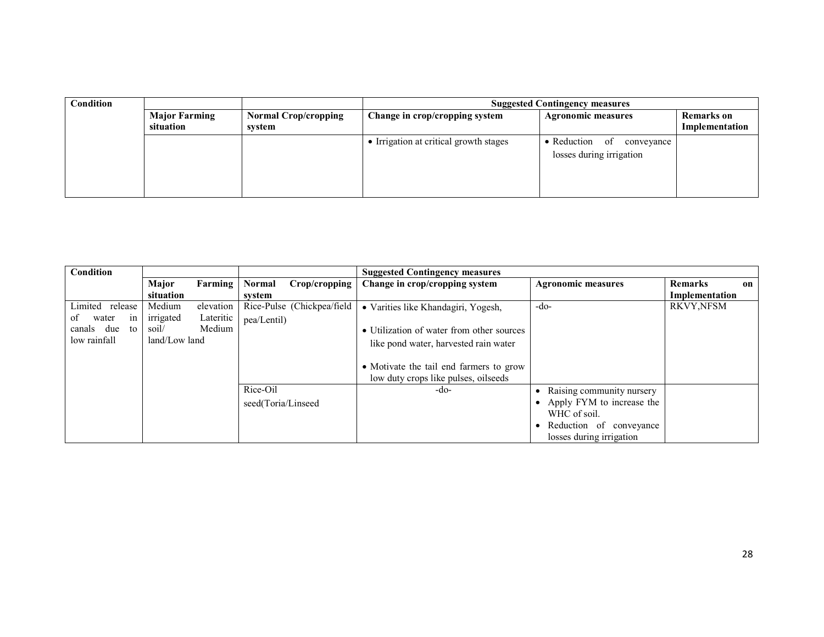| Condition |                                   |                                       | <b>Suggested Contingency measures</b>  |                                                             |                                     |  |
|-----------|-----------------------------------|---------------------------------------|----------------------------------------|-------------------------------------------------------------|-------------------------------------|--|
|           | <b>Major Farming</b><br>situation | <b>Normal Crop/cropping</b><br>system | Change in crop/cropping system         | <b>Agronomic measures</b>                                   | <b>Remarks</b> on<br>Implementation |  |
|           |                                   |                                       | • Irrigation at critical growth stages | • Reduction<br>of<br>conveyance<br>losses during irrigation |                                     |  |

| Condition         |               |           |                    |                            | <b>Suggested Contingency measures</b>     |                           |                      |
|-------------------|---------------|-----------|--------------------|----------------------------|-------------------------------------------|---------------------------|----------------------|
|                   | Major         | Farming   | <b>Normal</b>      | Crop/cropping              | Change in crop/cropping system            | <b>Agronomic measures</b> | <b>Remarks</b><br>on |
|                   | situation     |           | svstem             |                            |                                           |                           | Implementation       |
| Limited release   | Medium        | elevation |                    | Rice-Pulse (Chickpea/field | · Varities like Khandagiri, Yogesh,       | -do-                      | <b>RKVY, NFSM</b>    |
| water<br>οf<br>1n | irrigated     | Lateritic | pea/Lentil)        |                            |                                           |                           |                      |
| canals due<br>to  | soil/         | Medium    |                    |                            | • Utilization of water from other sources |                           |                      |
| low rainfall      | land/Low land |           |                    |                            | like pond water, harvested rain water     |                           |                      |
|                   |               |           |                    |                            |                                           |                           |                      |
|                   |               |           |                    |                            | • Motivate the tail end farmers to grow   |                           |                      |
|                   |               |           |                    |                            | low duty crops like pulses, oilseeds      |                           |                      |
|                   |               |           | Rice-Oil           |                            | -do-                                      | Raising community nursery |                      |
|                   |               |           | seed(Toria/Linseed |                            |                                           | Apply FYM to increase the |                      |
|                   |               |           |                    |                            |                                           | WHC of soil.              |                      |
|                   |               |           |                    |                            |                                           | Reduction of conveyance   |                      |
|                   |               |           |                    |                            |                                           | losses during irrigation  |                      |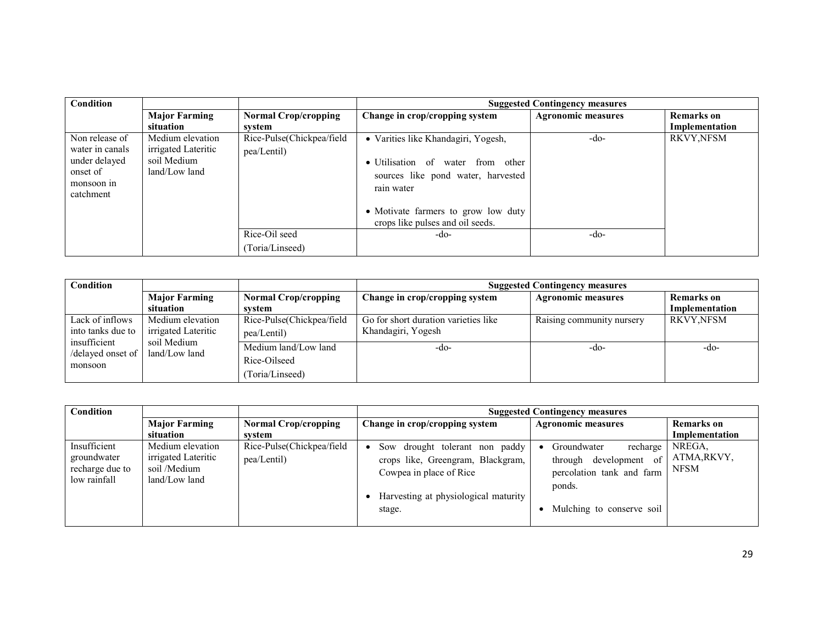| Condition       |                      |                             | <b>Suggested Contingency measures</b> |                           |                   |
|-----------------|----------------------|-----------------------------|---------------------------------------|---------------------------|-------------------|
|                 | <b>Major Farming</b> | <b>Normal Crop/cropping</b> | Change in crop/cropping system        | <b>Agronomic measures</b> | <b>Remarks</b> on |
|                 | situation            | svstem                      |                                       |                           | Implementation    |
| Non release of  | Medium elevation     | Rice-Pulse(Chickpea/field   | • Varities like Khandagiri, Yogesh,   | -do-                      | <b>RKVY,NFSM</b>  |
| water in canals | irrigated Lateritic  | pea/Lentil)                 |                                       |                           |                   |
| under delayed   | soil Medium          |                             | · Utilisation of water from other     |                           |                   |
| onset of        | $land/Low$ land      |                             | sources like pond water, harvested    |                           |                   |
| monsoon in      |                      |                             | rain water                            |                           |                   |
| catchment       |                      |                             |                                       |                           |                   |
|                 |                      |                             | • Motivate farmers to grow low duty   |                           |                   |
|                 |                      |                             | crops like pulses and oil seeds.      |                           |                   |
|                 |                      | Rice-Oil seed               | $-do-$                                | -do-                      |                   |
|                 |                      | (Toria/Linseed)             |                                       |                           |                   |

| Condition                                    |                                         |                                                         | <b>Suggested Contingency measures</b>                      |                           |                                     |
|----------------------------------------------|-----------------------------------------|---------------------------------------------------------|------------------------------------------------------------|---------------------------|-------------------------------------|
|                                              | <b>Major Farming</b><br>situation       | <b>Normal Crop/cropping</b><br>system                   | Change in crop/cropping system                             | <b>Agronomic measures</b> | <b>Remarks</b> on<br>Implementation |
| Lack of inflows<br>into tanks due to         | Medium elevation<br>irrigated Lateritic | Rice-Pulse(Chickpea/field<br>pea/Lentil)                | Go for short duration varieties like<br>Khandagiri, Yogesh | Raising community nursery | <b>RKVY,NFSM</b>                    |
| insufficient<br>/delayed onset of<br>monsoon | soil Medium<br>land/Low land            | Medium land/Low land<br>Rice-Oilseed<br>(Toria/Linseed) | -do-                                                       | -do-                      | -do-                                |

| Condition                                                      |                                                                          |                                          | <b>Suggested Contingency measures</b>                                                                                                            |                                                                                                                                          |                                      |  |
|----------------------------------------------------------------|--------------------------------------------------------------------------|------------------------------------------|--------------------------------------------------------------------------------------------------------------------------------------------------|------------------------------------------------------------------------------------------------------------------------------------------|--------------------------------------|--|
|                                                                | <b>Major Farming</b>                                                     | <b>Normal Crop/cropping</b>              | Change in crop/cropping system                                                                                                                   | <b>Agronomic measures</b>                                                                                                                | <b>Remarks</b> on                    |  |
|                                                                | situation                                                                | svstem                                   |                                                                                                                                                  |                                                                                                                                          | Implementation                       |  |
| Insufficient<br>groundwater<br>recharge due to<br>low rainfall | Medium elevation<br>irrigated Lateritic<br>soil /Medium<br>land/Low land | Rice-Pulse(Chickpea/field<br>pea/Lentil) | Sow drought tolerant non paddy<br>crops like, Greengram, Blackgram,<br>Cowpea in place of Rice<br>Harvesting at physiological maturity<br>stage. | Groundwater<br>recharge<br>development<br>of <sup>1</sup><br>through<br>percolation tank and farm<br>ponds.<br>Mulching to conserve soil | NREGA.<br>ATMA, RKVY,<br><b>NFSM</b> |  |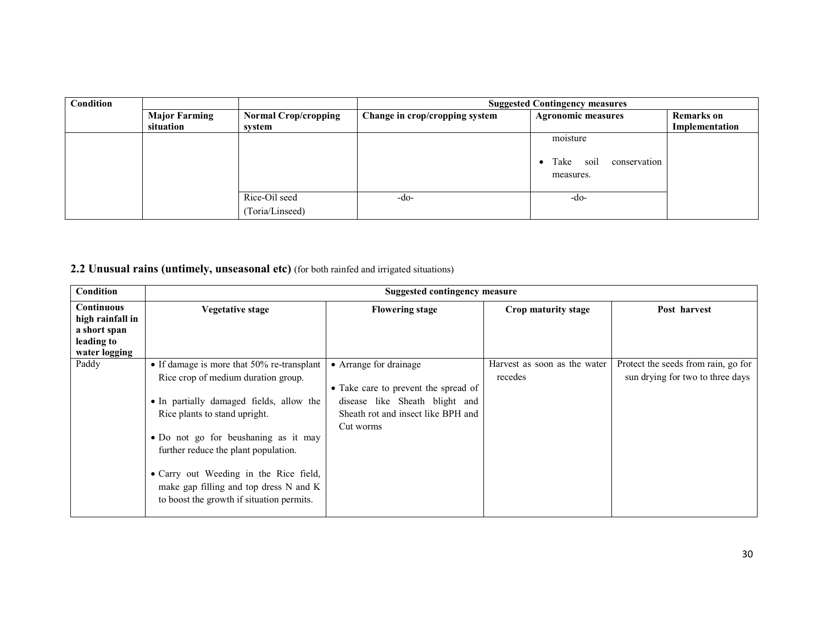| Condition |                      |                             | <b>Suggested Contingency measures</b> |                                           |                   |  |
|-----------|----------------------|-----------------------------|---------------------------------------|-------------------------------------------|-------------------|--|
|           | <b>Major Farming</b> | <b>Normal Crop/cropping</b> | Change in crop/cropping system        | <b>Agronomic measures</b>                 | <b>Remarks</b> on |  |
|           | situation            | system                      |                                       |                                           | Implementation    |  |
|           |                      |                             |                                       | moisture                                  |                   |  |
|           |                      |                             |                                       | conservation<br>Take<br>soil<br>measures. |                   |  |
|           |                      | Rice-Oil seed               | -do-                                  | -do-                                      |                   |  |
|           |                      | (Toria/Linseed)             |                                       |                                           |                   |  |

2.2 Unusual rains (untimely, unseasonal etc) (for both rainfed and irrigated situations)

| <b>Condition</b>                                                                     | Suggested contingency measure                                                                                                                                                                                                                                                                                                                                                   |                                                                                                                                                     |                                         |                                                                         |  |  |
|--------------------------------------------------------------------------------------|---------------------------------------------------------------------------------------------------------------------------------------------------------------------------------------------------------------------------------------------------------------------------------------------------------------------------------------------------------------------------------|-----------------------------------------------------------------------------------------------------------------------------------------------------|-----------------------------------------|-------------------------------------------------------------------------|--|--|
| <b>Continuous</b><br>high rainfall in<br>a short span<br>leading to<br>water logging | Vegetative stage                                                                                                                                                                                                                                                                                                                                                                | <b>Flowering stage</b>                                                                                                                              | Crop maturity stage                     | Post harvest                                                            |  |  |
| Paddy                                                                                | • If damage is more that 50% re-transplant<br>Rice crop of medium duration group.<br>• In partially damaged fields, allow the<br>Rice plants to stand upright.<br>• Do not go for beushaning as it may<br>further reduce the plant population.<br>• Carry out Weeding in the Rice field,<br>make gap filling and top dress N and K<br>to boost the growth if situation permits. | • Arrange for drainage<br>• Take care to prevent the spread of<br>disease like Sheath blight and<br>Sheath rot and insect like BPH and<br>Cut worms | Harvest as soon as the water<br>recedes | Protect the seeds from rain, go for<br>sun drying for two to three days |  |  |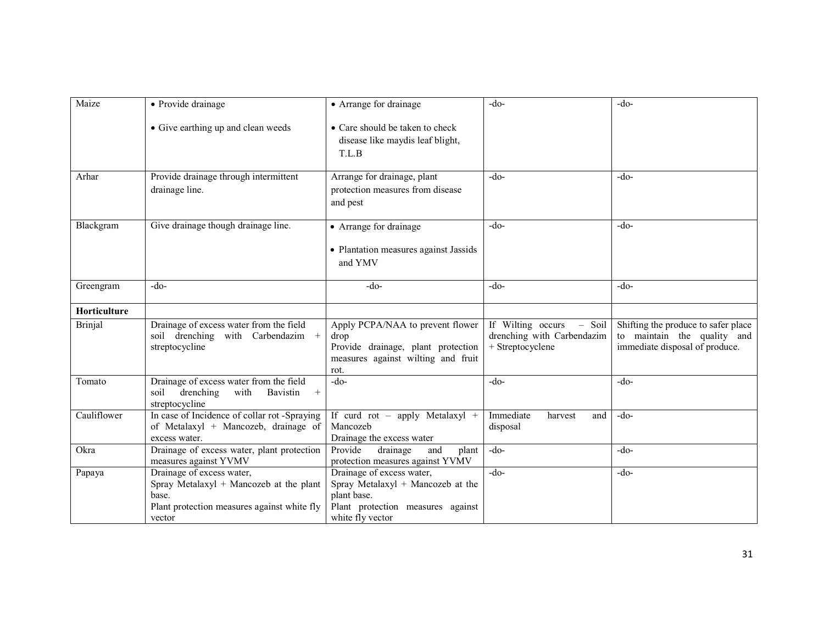| Maize          | • Provide drainage                                                                                                                     | • Arrange for drainage                                                                                                                 | $-do-$                                                                          | $-do-$                                                                                               |
|----------------|----------------------------------------------------------------------------------------------------------------------------------------|----------------------------------------------------------------------------------------------------------------------------------------|---------------------------------------------------------------------------------|------------------------------------------------------------------------------------------------------|
|                | • Give earthing up and clean weeds                                                                                                     | • Care should be taken to check<br>disease like maydis leaf blight,<br>T.L.B                                                           |                                                                                 |                                                                                                      |
| Arhar          | Provide drainage through intermittent<br>drainage line.                                                                                | Arrange for drainage, plant<br>protection measures from disease<br>and pest                                                            | $-do-$                                                                          | $-do-$                                                                                               |
| Blackgram      | Give drainage though drainage line.                                                                                                    | • Arrange for drainage<br>• Plantation measures against Jassids<br>and YMV                                                             | $-do-$                                                                          | $-do-$                                                                                               |
| Greengram      | $-do-$                                                                                                                                 | $-do-$                                                                                                                                 | $-do-$                                                                          | $-do-$                                                                                               |
| Horticulture   |                                                                                                                                        |                                                                                                                                        |                                                                                 |                                                                                                      |
| <b>Brinjal</b> | Drainage of excess water from the field<br>soil drenching with Carbendazim +<br>streptocycline                                         | Apply PCPA/NAA to prevent flower<br>drop<br>Provide drainage, plant protection<br>measures against wilting and fruit<br>rot.           | If Wilting occurs<br>$-$ Soil<br>drenching with Carbendazim<br>+ Streptocyclene | Shifting the produce to safer place<br>to maintain the quality and<br>immediate disposal of produce. |
| Tomato         | Drainage of excess water from the field<br>drenching<br>soil<br>with<br>Bavistin<br>$+$<br>streptocycline                              | $-do-$                                                                                                                                 | $-do-$                                                                          | $-do-$                                                                                               |
| Cauliflower    | In case of Incidence of collar rot -Spraying<br>of Metalaxyl + Mancozeb, drainage of<br>excess water.                                  | If curd rot - apply Metalaxyl +<br>Mancozeb<br>Drainage the excess water                                                               | Immediate<br>harvest<br>and<br>disposal                                         | $-do-$                                                                                               |
| Okra           | Drainage of excess water, plant protection<br>measures against YVMV                                                                    | Provide<br>drainage<br>and<br>plant<br>protection measures against YVMV                                                                | $-do-$                                                                          | $-do-$                                                                                               |
| Papaya         | Drainage of excess water,<br>Spray Metalaxyl + Mancozeb at the plant<br>base.<br>Plant protection measures against white fly<br>vector | Drainage of excess water,<br>Spray Metalaxyl + Mancozeb at the<br>plant base.<br>Plant protection measures against<br>white fly vector | $-do-$                                                                          | $-do-$                                                                                               |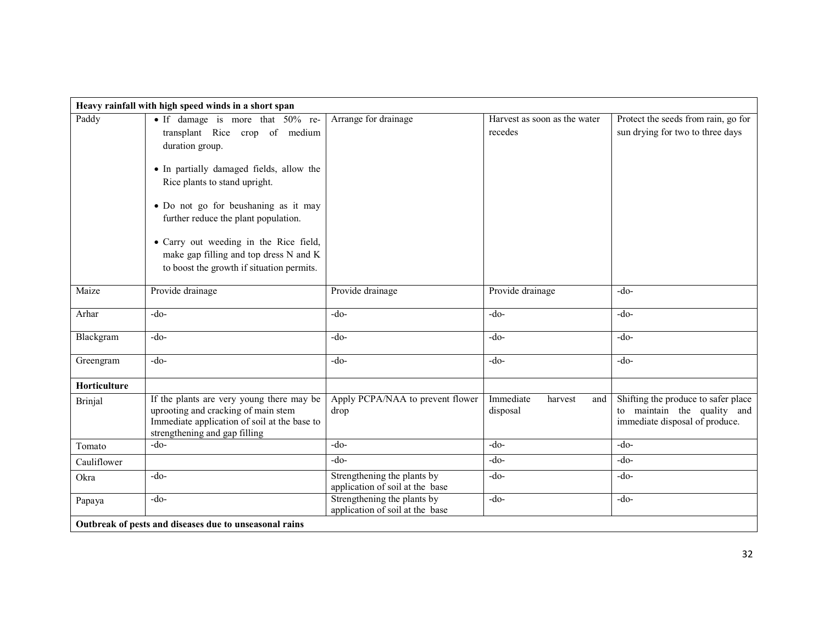|                                                        | Heavy rainfall with high speed winds in a short span                                                                                                                                                                                                                                                                                                                                |                                                                |                                         |                                                                                                      |  |  |
|--------------------------------------------------------|-------------------------------------------------------------------------------------------------------------------------------------------------------------------------------------------------------------------------------------------------------------------------------------------------------------------------------------------------------------------------------------|----------------------------------------------------------------|-----------------------------------------|------------------------------------------------------------------------------------------------------|--|--|
| Paddy                                                  | • If damage is more that 50% re-<br>transplant Rice crop of medium<br>duration group.<br>• In partially damaged fields, allow the<br>Rice plants to stand upright.<br>· Do not go for beushaning as it may<br>further reduce the plant population.<br>• Carry out weeding in the Rice field,<br>make gap filling and top dress N and K<br>to boost the growth if situation permits. | Arrange for drainage                                           | Harvest as soon as the water<br>recedes | Protect the seeds from rain, go for<br>sun drying for two to three days                              |  |  |
| Maize                                                  | Provide drainage                                                                                                                                                                                                                                                                                                                                                                    | Provide drainage                                               | Provide drainage                        | $-do-$                                                                                               |  |  |
| Arhar                                                  | $-do-$                                                                                                                                                                                                                                                                                                                                                                              | $-do-$                                                         | $-do-$                                  | $-do-$                                                                                               |  |  |
| Blackgram                                              | $-do-$                                                                                                                                                                                                                                                                                                                                                                              | $-do-$                                                         | $-do-$                                  | $-do-$                                                                                               |  |  |
| Greengram                                              | $-do-$                                                                                                                                                                                                                                                                                                                                                                              | $-do-$                                                         | $-do-$                                  | $-do-$                                                                                               |  |  |
| Horticulture                                           |                                                                                                                                                                                                                                                                                                                                                                                     |                                                                |                                         |                                                                                                      |  |  |
| <b>Brinjal</b>                                         | If the plants are very young there may be<br>uprooting and cracking of main stem<br>Immediate application of soil at the base to<br>strengthening and gap filling                                                                                                                                                                                                                   | Apply PCPA/NAA to prevent flower<br>drop                       | Immediate<br>harvest<br>and<br>disposal | Shifting the produce to safer place<br>to maintain the quality and<br>immediate disposal of produce. |  |  |
| Tomato                                                 | $-do-$                                                                                                                                                                                                                                                                                                                                                                              | -do-                                                           | $-do-$                                  | $-do-$                                                                                               |  |  |
| Cauliflower                                            |                                                                                                                                                                                                                                                                                                                                                                                     | $-do-$                                                         | -do-                                    | $-do-$                                                                                               |  |  |
| Okra                                                   | $-do-$                                                                                                                                                                                                                                                                                                                                                                              | Strengthening the plants by<br>application of soil at the base | $-do-$                                  | $-do-$                                                                                               |  |  |
| Papaya                                                 | $-do-$                                                                                                                                                                                                                                                                                                                                                                              | Strengthening the plants by<br>application of soil at the base | $-do-$                                  | $-do-$                                                                                               |  |  |
| Outbreak of pests and diseases due to unseasonal rains |                                                                                                                                                                                                                                                                                                                                                                                     |                                                                |                                         |                                                                                                      |  |  |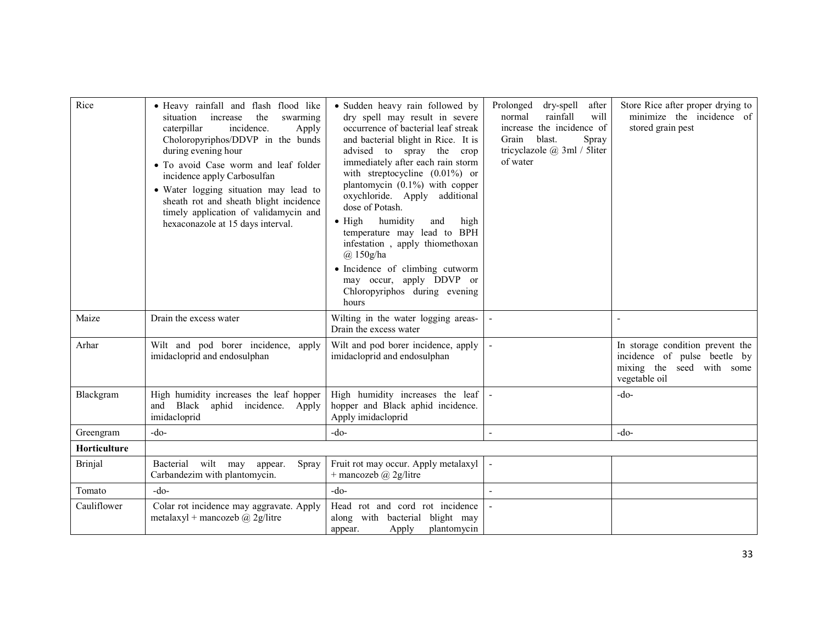| Rice           | · Heavy rainfall and flash flood like<br>increase<br>the<br>situation<br>swarming<br>incidence.<br>caterpillar<br>Apply<br>Choloropyriphos/DDVP in the bunds<br>during evening hour<br>• To avoid Case worm and leaf folder<br>incidence apply Carbosulfan<br>• Water logging situation may lead to<br>sheath rot and sheath blight incidence<br>timely application of validamycin and<br>hexaconazole at 15 days interval. | · Sudden heavy rain followed by<br>dry spell may result in severe<br>occurrence of bacterial leaf streak<br>and bacterial blight in Rice. It is<br>advised to spray the crop<br>immediately after each rain storm<br>with streptocycline $(0.01\%)$ or<br>plantomycin $(0.1\%)$ with copper<br>oxychloride. Apply additional<br>dose of Potash.<br>humidity<br>$\bullet$ High<br>high<br>and<br>temperature may lead to BPH<br>infestation, apply thiomethoxan<br>$(a)$ 150g/ha<br>· Incidence of climbing cutworm<br>may occur, apply DDVP or<br>Chloropyriphos during evening<br>hours | Prolonged<br>dry-spell<br>after<br>rainfall<br>will<br>normal<br>increase the incidence of<br>blast.<br>Spray<br>Grain<br>tricyclazole @ 3ml / 5liter<br>of water | Store Rice after proper drying to<br>minimize the incidence of<br>stored grain pest                            |
|----------------|-----------------------------------------------------------------------------------------------------------------------------------------------------------------------------------------------------------------------------------------------------------------------------------------------------------------------------------------------------------------------------------------------------------------------------|------------------------------------------------------------------------------------------------------------------------------------------------------------------------------------------------------------------------------------------------------------------------------------------------------------------------------------------------------------------------------------------------------------------------------------------------------------------------------------------------------------------------------------------------------------------------------------------|-------------------------------------------------------------------------------------------------------------------------------------------------------------------|----------------------------------------------------------------------------------------------------------------|
| Maize          | Drain the excess water                                                                                                                                                                                                                                                                                                                                                                                                      | Wilting in the water logging areas-<br>Drain the excess water                                                                                                                                                                                                                                                                                                                                                                                                                                                                                                                            |                                                                                                                                                                   |                                                                                                                |
| Arhar          | Wilt and pod borer incidence, apply<br>imidacloprid and endosulphan                                                                                                                                                                                                                                                                                                                                                         | Wilt and pod borer incidence, apply<br>imidacloprid and endosulphan                                                                                                                                                                                                                                                                                                                                                                                                                                                                                                                      |                                                                                                                                                                   | In storage condition prevent the<br>incidence of pulse beetle by<br>mixing the seed with some<br>vegetable oil |
| Blackgram      | High humidity increases the leaf hopper<br>and Black aphid incidence. Apply<br>imidacloprid                                                                                                                                                                                                                                                                                                                                 | High humidity increases the leaf<br>hopper and Black aphid incidence.<br>Apply imidacloprid                                                                                                                                                                                                                                                                                                                                                                                                                                                                                              |                                                                                                                                                                   | $-do-$                                                                                                         |
| Greengram      | $-do-$                                                                                                                                                                                                                                                                                                                                                                                                                      | $-do-$                                                                                                                                                                                                                                                                                                                                                                                                                                                                                                                                                                                   | $\sim$                                                                                                                                                            | $-do-$                                                                                                         |
| Horticulture   |                                                                                                                                                                                                                                                                                                                                                                                                                             |                                                                                                                                                                                                                                                                                                                                                                                                                                                                                                                                                                                          |                                                                                                                                                                   |                                                                                                                |
| <b>Brinjal</b> | Bacterial<br>wilt may<br>Spray<br>appear.<br>Carbandezim with plantomycin.                                                                                                                                                                                                                                                                                                                                                  | Fruit rot may occur. Apply metalaxyl<br>+ mancozeb $(a)$ 2g/litre                                                                                                                                                                                                                                                                                                                                                                                                                                                                                                                        |                                                                                                                                                                   |                                                                                                                |
| Tomato         | $-do-$                                                                                                                                                                                                                                                                                                                                                                                                                      | -do-                                                                                                                                                                                                                                                                                                                                                                                                                                                                                                                                                                                     | $\overline{\phantom{a}}$                                                                                                                                          |                                                                                                                |
| Cauliflower    | Colar rot incidence may aggravate. Apply<br>metalaxyl + mancozeb @ 2g/litre                                                                                                                                                                                                                                                                                                                                                 | Head rot and cord rot incidence<br>along with bacterial blight may<br>Apply<br>plantomycin<br>appear.                                                                                                                                                                                                                                                                                                                                                                                                                                                                                    |                                                                                                                                                                   |                                                                                                                |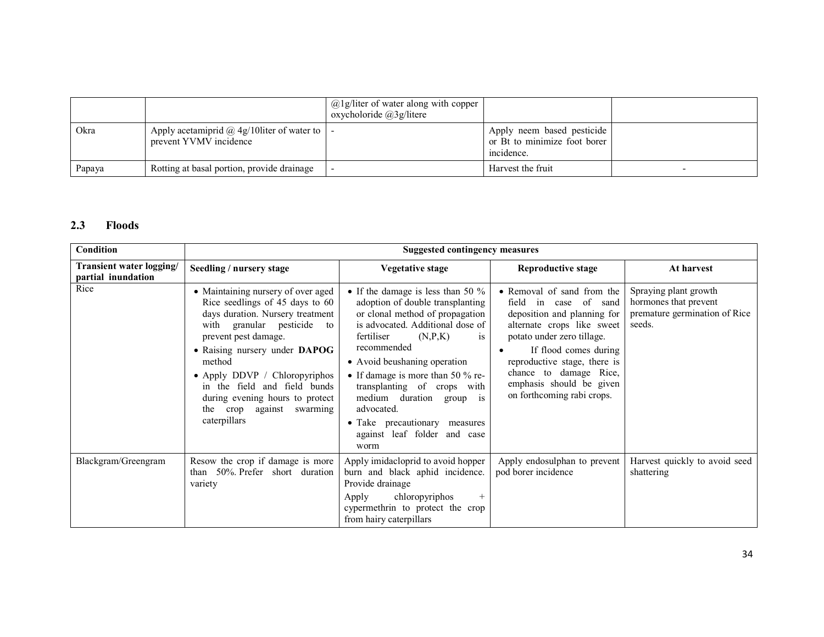|        |                                                                                        | $@1g/l$ iter of water along with copper<br>oxycholoride $(a)$ 3g/litere |                                                                          |  |
|--------|----------------------------------------------------------------------------------------|-------------------------------------------------------------------------|--------------------------------------------------------------------------|--|
| Okra   | Apply acetamiprid $\omega$ 4g/10 liter of water to $\vert$ -<br>prevent YVMV incidence |                                                                         | Apply neem based pesticide<br>or Bt to minimize foot borer<br>incidence. |  |
| Papaya | Rotting at basal portion, provide drainage                                             |                                                                         | Harvest the fruit                                                        |  |

### 2.3 Floods

| <b>Condition</b>                               |                                                                                                                                                                                                                                                                                                                                                                | <b>Suggested contingency measures</b>                                                                                                                                                                                                                                                                                                                                                                                     |                                                                                                                                                                                                                                                                                                   |                                                                                           |
|------------------------------------------------|----------------------------------------------------------------------------------------------------------------------------------------------------------------------------------------------------------------------------------------------------------------------------------------------------------------------------------------------------------------|---------------------------------------------------------------------------------------------------------------------------------------------------------------------------------------------------------------------------------------------------------------------------------------------------------------------------------------------------------------------------------------------------------------------------|---------------------------------------------------------------------------------------------------------------------------------------------------------------------------------------------------------------------------------------------------------------------------------------------------|-------------------------------------------------------------------------------------------|
| Transient water logging/<br>partial inundation | Seedling / nursery stage                                                                                                                                                                                                                                                                                                                                       | <b>Vegetative stage</b>                                                                                                                                                                                                                                                                                                                                                                                                   | <b>Reproductive stage</b>                                                                                                                                                                                                                                                                         | At harvest                                                                                |
| Rice                                           | • Maintaining nursery of over aged<br>Rice seedlings of 45 days to 60<br>days duration. Nursery treatment<br>with granular pesticide<br>to<br>prevent pest damage.<br>• Raising nursery under DAPOG<br>method<br>• Apply DDVP / Chloropyriphos<br>in the field and field bunds<br>during evening hours to protect<br>the crop against swarming<br>caterpillars | • If the damage is less than 50 $\%$<br>adoption of double transplanting<br>or clonal method of propagation<br>is advocated. Additional dose of<br>fertiliser<br>(N, P, K)<br>1S<br>recommended<br>• Avoid beushaning operation<br>• If damage is more than 50 % re-<br>transplanting of crops with<br>medium duration group is<br>advocated.<br>• Take precautionary measures<br>against leaf folder<br>and case<br>worm | • Removal of sand from the<br>case of sand<br>field<br>in<br>deposition and planning for<br>alternate crops like sweet<br>potato under zero tillage.<br>If flood comes during<br>reproductive stage, there is<br>chance to damage Rice,<br>emphasis should be given<br>on forthcoming rabi crops. | Spraying plant growth<br>hormones that prevent<br>premature germination of Rice<br>seeds. |
| Blackgram/Greengram                            | Resow the crop if damage is more<br>50% Prefer short duration<br>than<br>variety                                                                                                                                                                                                                                                                               | Apply imidacloprid to avoid hopper<br>burn and black aphid incidence.<br>Provide drainage<br>chloropyriphos<br>Apply<br>$+$<br>cypermethrin to protect the crop<br>from hairy caterpillars                                                                                                                                                                                                                                | Apply endosulphan to prevent<br>pod borer incidence                                                                                                                                                                                                                                               | Harvest quickly to avoid seed<br>shattering                                               |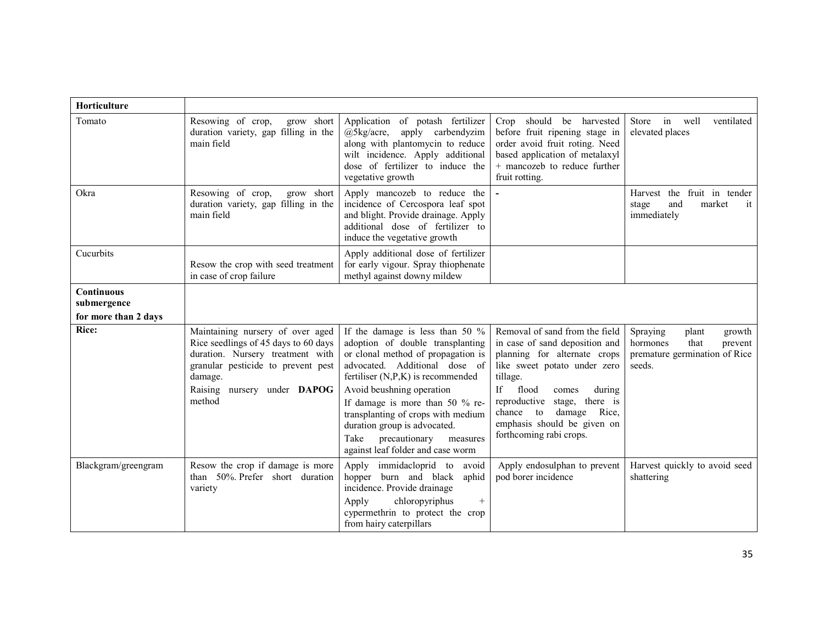| Horticulture                                             |                                                                                                                                                                                                        |                                                                                                                                                                                                                                                                                                                                                                                                       |                                                                                                                                                                                                                                                                                                          |                                                                                                       |
|----------------------------------------------------------|--------------------------------------------------------------------------------------------------------------------------------------------------------------------------------------------------------|-------------------------------------------------------------------------------------------------------------------------------------------------------------------------------------------------------------------------------------------------------------------------------------------------------------------------------------------------------------------------------------------------------|----------------------------------------------------------------------------------------------------------------------------------------------------------------------------------------------------------------------------------------------------------------------------------------------------------|-------------------------------------------------------------------------------------------------------|
| Tomato                                                   | Resowing of crop,<br>grow short<br>duration variety, gap filling in the<br>main field                                                                                                                  | Application of potash fertilizer<br>apply carbendyzim<br>$(a)$ 5kg/acre,<br>along with plantomycin to reduce<br>wilt incidence. Apply additional<br>dose of fertilizer to induce the<br>vegetative growth                                                                                                                                                                                             | Crop should be harvested<br>before fruit ripening stage in<br>order avoid fruit roting. Need<br>based application of metalaxyl<br>+ mancozeb to reduce further<br>fruit rotting.                                                                                                                         | Store in well<br>ventilated<br>elevated places                                                        |
| Okra                                                     | Resowing of crop,<br>grow short<br>duration variety, gap filling in the<br>main field                                                                                                                  | Apply mancozeb to reduce the<br>incidence of Cercospora leaf spot<br>and blight. Provide drainage. Apply<br>additional dose of fertilizer to<br>induce the vegetative growth                                                                                                                                                                                                                          |                                                                                                                                                                                                                                                                                                          | Harvest the fruit in tender<br>market<br>stage<br>and<br>it<br>immediately                            |
| Cucurbits                                                | Resow the crop with seed treatment<br>in case of crop failure                                                                                                                                          | Apply additional dose of fertilizer<br>for early vigour. Spray thiophenate<br>methyl against downy mildew                                                                                                                                                                                                                                                                                             |                                                                                                                                                                                                                                                                                                          |                                                                                                       |
| <b>Continuous</b><br>submergence<br>for more than 2 days |                                                                                                                                                                                                        |                                                                                                                                                                                                                                                                                                                                                                                                       |                                                                                                                                                                                                                                                                                                          |                                                                                                       |
| <b>Rice:</b>                                             | Maintaining nursery of over aged<br>Rice seedlings of 45 days to 60 days<br>duration. Nursery treatment with<br>granular pesticide to prevent pest<br>damage.<br>Raising nursery under DAPOG<br>method | If the damage is less than 50 %<br>adoption of double transplanting<br>or clonal method of propagation is<br>advocated. Additional dose of<br>fertiliser $(N, P, K)$ is recommended<br>Avoid beushning operation<br>If damage is more than 50 $%$ re-<br>transplanting of crops with medium<br>duration group is advocated.<br>Take<br>precautionary<br>measures<br>against leaf folder and case worm | Removal of sand from the field<br>in case of sand deposition and<br>planning for alternate crops<br>like sweet potato under zero<br>tillage.<br>If<br>flood<br>during<br>comes<br>reproductive stage, there is<br>chance to<br>damage<br>Rice,<br>emphasis should be given on<br>forthcoming rabi crops. | Spraying<br>growth<br>plant<br>hormones<br>that<br>prevent<br>premature germination of Rice<br>seeds. |
| Blackgram/greengram                                      | Resow the crop if damage is more<br>than 50% Prefer short duration<br>variety                                                                                                                          | immidacloprid to<br>Apply<br>avoid<br>hopper burn and black<br>aphid<br>incidence. Provide drainage<br>chloropyriphus<br>Apply<br>$+$<br>cypermethrin to protect the crop<br>from hairy caterpillars                                                                                                                                                                                                  | Apply endosulphan to prevent<br>pod borer incidence                                                                                                                                                                                                                                                      | Harvest quickly to avoid seed<br>shattering                                                           |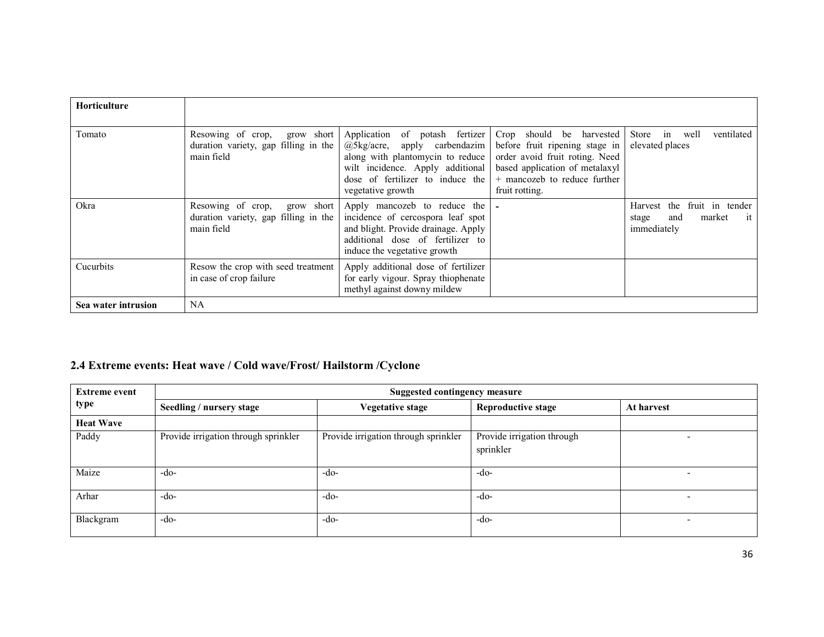| Horticulture        |                                                                                       |                                                                                                                                                                                                       |                                                                                                                                                                                  |                                                                               |
|---------------------|---------------------------------------------------------------------------------------|-------------------------------------------------------------------------------------------------------------------------------------------------------------------------------------------------------|----------------------------------------------------------------------------------------------------------------------------------------------------------------------------------|-------------------------------------------------------------------------------|
| Tomato              | grow short<br>Resowing of crop,<br>duration variety, gap filling in the<br>main field | of potash fertizer<br>Application<br>@5kg/acre,<br>apply carbendazim<br>along with plantomycin to reduce<br>wilt incidence. Apply additional<br>dose of fertilizer to induce the<br>vegetative growth | Crop should be harvested<br>before fruit ripening stage in<br>order avoid fruit roting. Need<br>based application of metalaxyl<br>+ mancozeb to reduce further<br>fruit rotting. | Store in well<br>ventilated<br>elevated places                                |
| Okra                | Resowing of crop,<br>grow short<br>duration variety, gap filling in the<br>main field | Apply mancozeb to reduce the<br>incidence of cercospora leaf spot<br>and blight. Provide drainage. Apply<br>additional dose of fertilizer to<br>induce the vegetative growth                          |                                                                                                                                                                                  | the fruit in tender<br>Harvest<br>market<br>it<br>and<br>stage<br>immediately |
| Cucurbits           | Resow the crop with seed treatment<br>in case of crop failure                         | Apply additional dose of fertilizer<br>for early vigour. Spray thiophenate<br>methyl against downy mildew                                                                                             |                                                                                                                                                                                  |                                                                               |
| Sea water intrusion | <b>NA</b>                                                                             |                                                                                                                                                                                                       |                                                                                                                                                                                  |                                                                               |

# 2.4 Extreme events: Heat wave / Cold wave/Frost/ Hailstorm /Cyclone

| <b>Extreme event</b> | <b>Suggested contingency measure</b> |                                      |                                         |                          |  |
|----------------------|--------------------------------------|--------------------------------------|-----------------------------------------|--------------------------|--|
| type                 | Seedling / nursery stage             | <b>Vegetative stage</b>              | <b>Reproductive stage</b>               | At harvest               |  |
| <b>Heat Wave</b>     |                                      |                                      |                                         |                          |  |
| Paddy                | Provide irrigation through sprinkler | Provide irrigation through sprinkler | Provide irrigation through<br>sprinkler |                          |  |
| Maize                | -do-                                 | -do-                                 | -do-                                    | $\overline{\phantom{a}}$ |  |
| Arhar                | -do-                                 | $-do-$                               | $-do-$                                  |                          |  |
| Blackgram            | -do-                                 | $-do-$                               | $-do-$                                  |                          |  |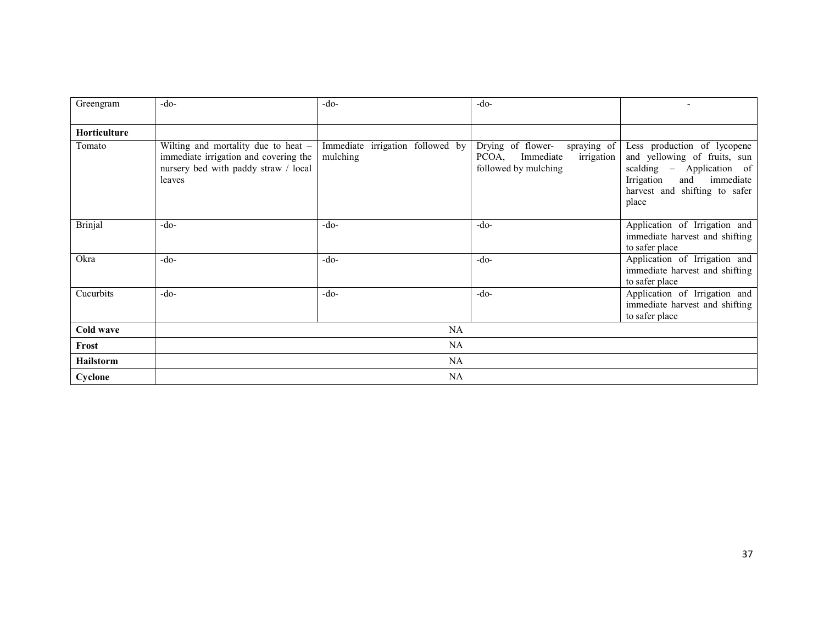| Greengram      | $-do-$                                                                                                                           | $-do-$                                       | $-do-$                                                                                       |                                                                                                                                                                      |  |
|----------------|----------------------------------------------------------------------------------------------------------------------------------|----------------------------------------------|----------------------------------------------------------------------------------------------|----------------------------------------------------------------------------------------------------------------------------------------------------------------------|--|
| Horticulture   |                                                                                                                                  |                                              |                                                                                              |                                                                                                                                                                      |  |
| Tomato         | Wilting and mortality due to heat $-$<br>immediate irrigation and covering the<br>nursery bed with paddy straw / local<br>leaves | Immediate irrigation followed by<br>mulching | spraying of<br>Drying of flower-<br>PCOA,<br>Immediate<br>irrigation<br>followed by mulching | Less production of lycopene<br>and yellowing of fruits, sun<br>scalding – Application of<br>immediate<br>Irrigation<br>and<br>harvest and shifting to safer<br>place |  |
| <b>Brinjal</b> | $-do-$                                                                                                                           | $-do-$                                       | $-do-$                                                                                       | Application of Irrigation and<br>immediate harvest and shifting<br>to safer place                                                                                    |  |
| Okra           | $-do-$                                                                                                                           | $-do-$                                       | $-do-$                                                                                       | Application of Irrigation and<br>immediate harvest and shifting<br>to safer place                                                                                    |  |
| Cucurbits      | $-do-$                                                                                                                           | $-do-$                                       | $-do-$                                                                                       | Application of Irrigation and<br>immediate harvest and shifting<br>to safer place                                                                                    |  |
| Cold wave      |                                                                                                                                  | <b>NA</b>                                    |                                                                                              |                                                                                                                                                                      |  |
| Frost          | <b>NA</b>                                                                                                                        |                                              |                                                                                              |                                                                                                                                                                      |  |
| Hailstorm      | NA                                                                                                                               |                                              |                                                                                              |                                                                                                                                                                      |  |
| Cyclone        | NA                                                                                                                               |                                              |                                                                                              |                                                                                                                                                                      |  |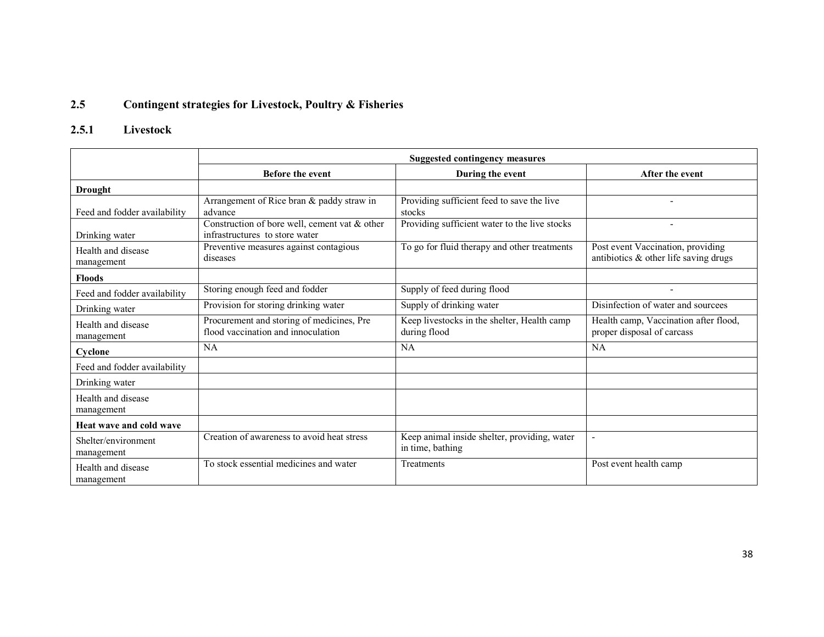#### 2.5Contingent strategies for Livestock, Poultry & Fisheries

# 2.5.1 Livestock

|                                   | <b>Suggested contingency measures</b>                                           |                                                                  |                                                                               |  |  |
|-----------------------------------|---------------------------------------------------------------------------------|------------------------------------------------------------------|-------------------------------------------------------------------------------|--|--|
|                                   | <b>Before the event</b>                                                         | During the event                                                 | After the event                                                               |  |  |
| <b>Drought</b>                    |                                                                                 |                                                                  |                                                                               |  |  |
| Feed and fodder availability      | Arrangement of Rice bran & paddy straw in<br>advance                            | Providing sufficient feed to save the live<br>stocks             |                                                                               |  |  |
| Drinking water                    | Construction of bore well, cement vat & other<br>infrastructures to store water | Providing sufficient water to the live stocks                    |                                                                               |  |  |
| Health and disease<br>management  | Preventive measures against contagious<br>diseases                              | To go for fluid therapy and other treatments                     | Post event Vaccination, providing<br>antibiotics $\&$ other life saving drugs |  |  |
| <b>Floods</b>                     |                                                                                 |                                                                  |                                                                               |  |  |
| Feed and fodder availability      | Storing enough feed and fodder                                                  | Supply of feed during flood                                      |                                                                               |  |  |
| Drinking water                    | Provision for storing drinking water                                            | Supply of drinking water                                         | Disinfection of water and sourcees                                            |  |  |
| Health and disease<br>management  | Procurement and storing of medicines, Pre<br>flood vaccination and innoculation | Keep livestocks in the shelter, Health camp<br>during flood      | Health camp, Vaccination after flood,<br>proper disposal of carcass           |  |  |
| Cyclone                           | NA                                                                              | NA                                                               | NA                                                                            |  |  |
| Feed and fodder availability      |                                                                                 |                                                                  |                                                                               |  |  |
| Drinking water                    |                                                                                 |                                                                  |                                                                               |  |  |
| Health and disease<br>management  |                                                                                 |                                                                  |                                                                               |  |  |
| Heat wave and cold wave           |                                                                                 |                                                                  |                                                                               |  |  |
| Shelter/environment<br>management | Creation of awareness to avoid heat stress                                      | Keep animal inside shelter, providing, water<br>in time, bathing |                                                                               |  |  |
| Health and disease<br>management  | To stock essential medicines and water                                          | Treatments                                                       | Post event health camp                                                        |  |  |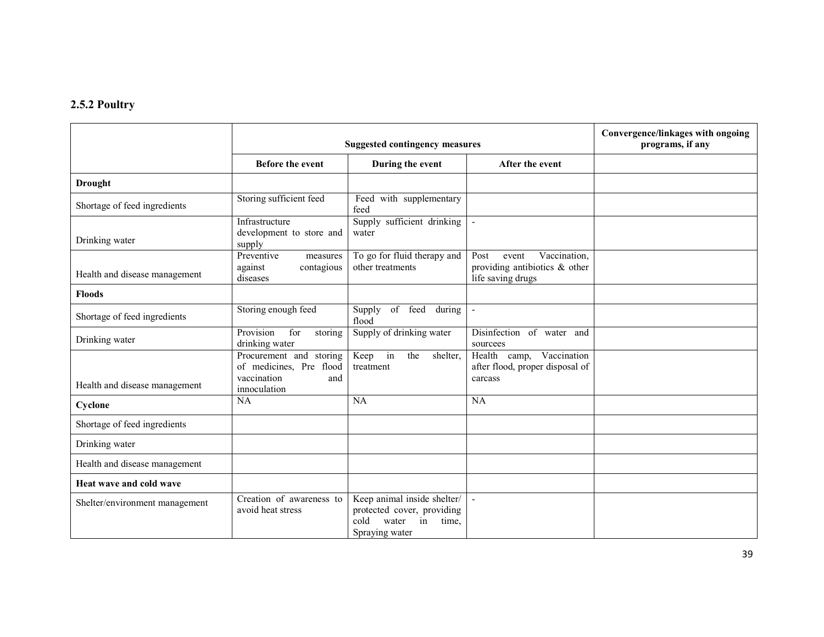### 2.5.2 Poultry

|                                | <b>Suggested contingency measures</b>                                                    |                                                                                                             |                                                                                     | Convergence/linkages with ongoing<br>programs, if any |
|--------------------------------|------------------------------------------------------------------------------------------|-------------------------------------------------------------------------------------------------------------|-------------------------------------------------------------------------------------|-------------------------------------------------------|
|                                | <b>Before the event</b>                                                                  | During the event                                                                                            | After the event                                                                     |                                                       |
| <b>Drought</b>                 |                                                                                          |                                                                                                             |                                                                                     |                                                       |
| Shortage of feed ingredients   | Storing sufficient feed                                                                  | Feed with supplementary<br>feed                                                                             |                                                                                     |                                                       |
| Drinking water                 | Infrastructure<br>development to store and<br>supply                                     | Supply sufficient drinking<br>water                                                                         |                                                                                     |                                                       |
| Health and disease management  | Preventive<br>measures<br>against<br>contagious<br>diseases                              | To go for fluid therapy and<br>other treatments                                                             | Vaccination,<br>Post<br>event<br>providing antibiotics & other<br>life saving drugs |                                                       |
| <b>Floods</b>                  |                                                                                          |                                                                                                             |                                                                                     |                                                       |
| Shortage of feed ingredients   | Storing enough feed                                                                      | of feed<br>Supply<br>during<br>flood                                                                        | $\blacksquare$                                                                      |                                                       |
| Drinking water                 | Provision<br>for<br>storing<br>drinking water                                            | Supply of drinking water                                                                                    | Disinfection of water and<br>sourcees                                               |                                                       |
| Health and disease management  | Procurement and storing<br>of medicines, Pre flood<br>vaccination<br>and<br>innoculation | Keep in<br>the<br>shelter,<br>treatment                                                                     | Health camp, Vaccination<br>after flood, proper disposal of<br>carcass              |                                                       |
| Cyclone                        | NA                                                                                       | NA                                                                                                          | <b>NA</b>                                                                           |                                                       |
| Shortage of feed ingredients   |                                                                                          |                                                                                                             |                                                                                     |                                                       |
| Drinking water                 |                                                                                          |                                                                                                             |                                                                                     |                                                       |
| Health and disease management  |                                                                                          |                                                                                                             |                                                                                     |                                                       |
| Heat wave and cold wave        |                                                                                          |                                                                                                             |                                                                                     |                                                       |
| Shelter/environment management | Creation of awareness to<br>avoid heat stress                                            | Keep animal inside shelter/<br>protected cover, providing<br>cold<br>time.<br>water<br>in<br>Spraying water |                                                                                     |                                                       |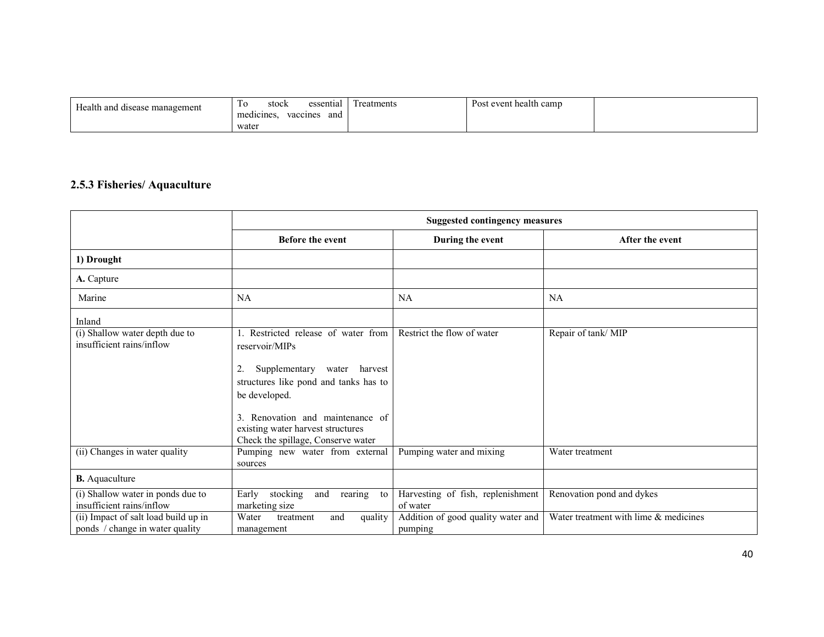| Health and disease management | essential<br>stock<br>10<br>$\sim$ $\sim$<br>vaccines<br>and<br>medicines | Treatments | Post event health camp |  |
|-------------------------------|---------------------------------------------------------------------------|------------|------------------------|--|
|                               | water                                                                     |            |                        |  |

#### 2.5.3 Fisheries/ Aquaculture

|                                                                         | <b>Suggested contingency measures</b>                                                         |                                               |                                       |  |
|-------------------------------------------------------------------------|-----------------------------------------------------------------------------------------------|-----------------------------------------------|---------------------------------------|--|
|                                                                         | <b>Before the event</b>                                                                       | During the event                              | After the event                       |  |
| 1) Drought                                                              |                                                                                               |                                               |                                       |  |
| A. Capture                                                              |                                                                                               |                                               |                                       |  |
| Marine                                                                  | NA                                                                                            | <b>NA</b>                                     | NA                                    |  |
| Inland                                                                  |                                                                                               |                                               |                                       |  |
| (i) Shallow water depth due to<br>insufficient rains/inflow             | Restricted release of water from<br>reservoir/MIPs<br>Supplementary<br>water<br>harvest<br>2. | Restrict the flow of water                    | Repair of tank/MIP                    |  |
|                                                                         | structures like pond and tanks has to<br>be developed.<br>Renovation and maintenance of       |                                               |                                       |  |
|                                                                         | existing water harvest structures<br>Check the spillage, Conserve water                       |                                               |                                       |  |
| (ii) Changes in water quality                                           | Pumping new water from external<br>sources                                                    | Pumping water and mixing                      | Water treatment                       |  |
| <b>B.</b> Aquaculture                                                   |                                                                                               |                                               |                                       |  |
| (i) Shallow water in ponds due to<br>insufficient rains/inflow          | stocking<br>rearing<br>Early<br>and<br>to<br>marketing size                                   | Harvesting of fish, replenishment<br>of water | Renovation pond and dykes             |  |
| (ii) Impact of salt load build up in<br>ponds / change in water quality | quality<br>Water<br>treatment<br>and<br>management                                            | Addition of good quality water and<br>pumping | Water treatment with lime & medicines |  |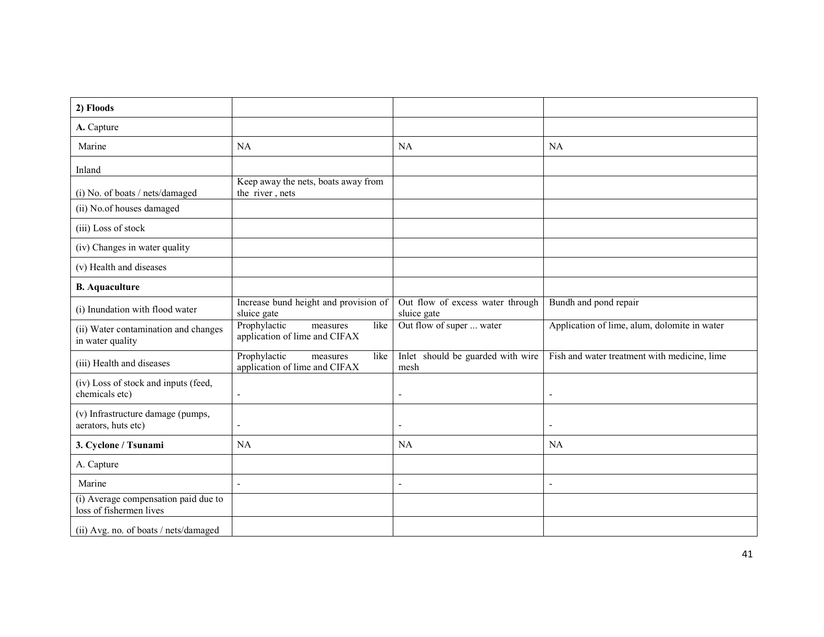| 2) Floods                                                       |                                                                   |                                                 |                                              |
|-----------------------------------------------------------------|-------------------------------------------------------------------|-------------------------------------------------|----------------------------------------------|
| A. Capture                                                      |                                                                   |                                                 |                                              |
| Marine                                                          | NA                                                                | <b>NA</b>                                       | NA                                           |
| Inland                                                          |                                                                   |                                                 |                                              |
| (i) No. of boats / nets/damaged                                 | Keep away the nets, boats away from<br>the river, nets            |                                                 |                                              |
| (ii) No.of houses damaged                                       |                                                                   |                                                 |                                              |
| (iii) Loss of stock                                             |                                                                   |                                                 |                                              |
| (iv) Changes in water quality                                   |                                                                   |                                                 |                                              |
| (v) Health and diseases                                         |                                                                   |                                                 |                                              |
| <b>B.</b> Aquaculture                                           |                                                                   |                                                 |                                              |
| (i) Inundation with flood water                                 | Increase bund height and provision of<br>sluice gate              | Out flow of excess water through<br>sluice gate | Bundh and pond repair                        |
| (ii) Water contamination and changes<br>in water quality        | Prophylactic<br>like<br>measures<br>application of lime and CIFAX | Out flow of super  water                        | Application of lime, alum, dolomite in water |
| (iii) Health and diseases                                       | Prophylactic<br>like<br>measures<br>application of lime and CIFAX | Inlet should be guarded with wire<br>mesh       | Fish and water treatment with medicine, lime |
| (iv) Loss of stock and inputs (feed,<br>chemicals etc)          | $\blacksquare$                                                    | $\sim$                                          | ÷,                                           |
| (v) Infrastructure damage (pumps,<br>aerators, huts etc)        |                                                                   | $\overline{\phantom{a}}$                        |                                              |
| 3. Cyclone / Tsunami                                            | <b>NA</b>                                                         | <b>NA</b>                                       | NA                                           |
| A. Capture                                                      |                                                                   |                                                 |                                              |
| Marine                                                          | $\blacksquare$                                                    | $\overline{\phantom{a}}$                        | ÷,                                           |
| (i) Average compensation paid due to<br>loss of fishermen lives |                                                                   |                                                 |                                              |
| (ii) Avg. no. of boats / nets/damaged                           |                                                                   |                                                 |                                              |